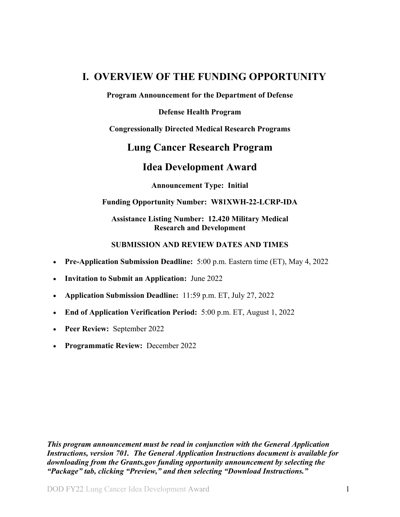## <span id="page-0-0"></span>**I. OVERVIEW OF THE FUNDING OPPORTUNITY**

**Program Announcement for the Department of Defense**

**Defense Health Program**

**Congressionally Directed Medical Research Programs**

## **Lung Cancer Research Program**

## **Idea Development Award**

**Announcement Type: Initial**

#### **Funding Opportunity Number: W81XWH-22-LCRP-IDA**

**Assistance Listing Number: 12.420 Military Medical Research and Development**

#### **SUBMISSION AND REVIEW DATES AND TIMES**

- <span id="page-0-1"></span>• **Pre-Application Submission Deadline:** 5:00 p.m. Eastern time (ET), May 4, 2022
- **Invitation to Submit an Application:** June 2022
- **Application Submission Deadline:** 11:59 p.m. ET, July 27, 2022
- **End of Application Verification Period:** 5:00 p.m. ET, August 1, 2022
- **Peer Review:** September 2022
- **Programmatic Review:** December 2022

*This program announcement must be read in conjunction with the General Application Instructions, version 701.**The General Application Instructions document is available for downloading from the Grants.gov funding opportunity announcement by selecting the "Package" tab, clicking "Preview," and then selecting "Download Instructions."*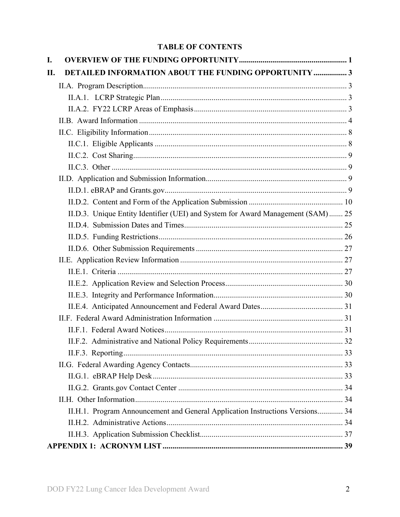## **TABLE OF CONTENTS**

| I.  |                                                                                  |  |
|-----|----------------------------------------------------------------------------------|--|
| II. | DETAILED INFORMATION ABOUT THE FUNDING OPPORTUNITY  3                            |  |
|     |                                                                                  |  |
|     |                                                                                  |  |
|     |                                                                                  |  |
|     |                                                                                  |  |
|     |                                                                                  |  |
|     |                                                                                  |  |
|     |                                                                                  |  |
|     |                                                                                  |  |
|     |                                                                                  |  |
|     |                                                                                  |  |
|     |                                                                                  |  |
|     | II.D.3. Unique Entity Identifier (UEI) and System for Award Management (SAM)  25 |  |
|     |                                                                                  |  |
|     |                                                                                  |  |
|     |                                                                                  |  |
|     |                                                                                  |  |
|     |                                                                                  |  |
|     |                                                                                  |  |
|     |                                                                                  |  |
|     |                                                                                  |  |
|     |                                                                                  |  |
|     |                                                                                  |  |
|     |                                                                                  |  |
|     |                                                                                  |  |
|     |                                                                                  |  |
|     |                                                                                  |  |
|     |                                                                                  |  |
|     |                                                                                  |  |
|     | II.H.1. Program Announcement and General Application Instructions Versions 34    |  |
|     |                                                                                  |  |
|     |                                                                                  |  |
|     |                                                                                  |  |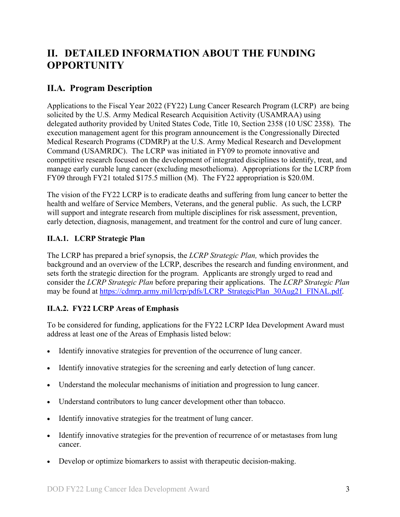# <span id="page-2-0"></span>**II. DETAILED INFORMATION ABOUT THE FUNDING OPPORTUNITY**

## <span id="page-2-1"></span>**II.A. Program Description**

Applications to the Fiscal Year 2022 (FY22) Lung Cancer Research Program (LCRP) are being solicited by the U.S. Army Medical Research Acquisition Activity (USAMRAA) using delegated authority provided by United States Code, Title 10, Section 2358 (10 USC 2358). The execution management agent for this program announcement is the Congressionally Directed Medical Research Programs (CDMRP) at the U.S. Army Medical Research and Development Command (USAMRDC). The LCRP was initiated in FY09 to promote innovative and competitive research focused on the development of integrated disciplines to identify, treat, and manage early curable lung cancer (excluding mesothelioma). Appropriations for the LCRP from FY09 through FY21 totaled \$175.5 million (M). The FY22 appropriation is \$20.0M.

The vision of the FY22 LCRP is to eradicate deaths and suffering from lung cancer to better the health and welfare of Service Members, Veterans, and the general public. As such, the LCRP will support and integrate research from multiple disciplines for risk assessment, prevention, early detection, diagnosis, management, and treatment for the control and cure of lung cancer.

## <span id="page-2-2"></span>**II.A.1. LCRP Strategic Plan**

The LCRP has prepared a brief synopsis, the *LCRP Strategic Plan,* which provides the background and an overview of the LCRP, describes the research and funding environment, and sets forth the strategic direction for the program. Applicants are strongly urged to read and consider the *LCRP Strategic Plan* before preparing their applications. The *LCRP Strategic Plan* may be found at [https://cdmrp.army.mil/lcrp/pdfs/LCRP\\_StrategicPlan\\_30Aug21\\_FINAL.pdf.](https://cdmrp.army.mil/lcrp/pdfs/LCRP_StrategicPlan_30Aug21_FINAL.pdf)

## <span id="page-2-3"></span>**II.A.2. FY22 LCRP Areas of Emphasis**

To be considered for funding, applications for the FY22 LCRP Idea Development Award must address at least one of the Areas of Emphasis listed below:

- Identify innovative strategies for prevention of the occurrence of lung cancer.
- Identify innovative strategies for the screening and early detection of lung cancer.
- Understand the molecular mechanisms of initiation and progression to lung cancer.
- Understand contributors to lung cancer development other than tobacco.
- Identify innovative strategies for the treatment of lung cancer.
- Identify innovative strategies for the prevention of recurrence of or metastases from lung cancer.
- Develop or optimize biomarkers to assist with therapeutic decision-making.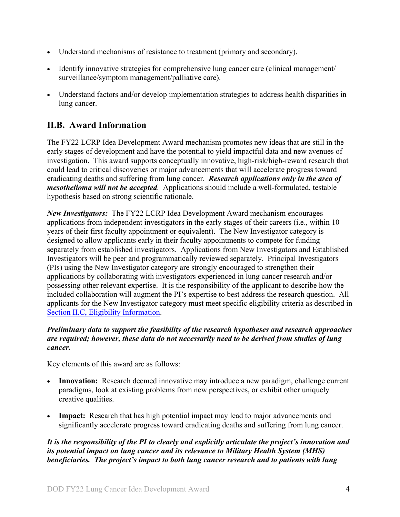- Understand mechanisms of resistance to treatment (primary and secondary).
- Identify innovative strategies for comprehensive lung cancer care (clinical management/ surveillance/symptom management/palliative care).
- Understand factors and/or develop implementation strategies to address health disparities in lung cancer.

## <span id="page-3-0"></span>**II.B. Award Information**

The FY22 LCRP Idea Development Award mechanism promotes new ideas that are still in the early stages of development and have the potential to yield impactful data and new avenues of investigation. This award supports conceptually innovative, high-risk/high-reward research that could lead to critical discoveries or major advancements that will accelerate progress toward eradicating deaths and suffering from lung cancer. *Research applications only in the area of mesothelioma will not be accepted.* Applications should include a well-formulated, testable hypothesis based on strong scientific rationale.

*New Investigators:* The FY22 LCRP Idea Development Award mechanism encourages applications from independent investigators in the early stages of their careers (i.e., within 10 years of their first faculty appointment or equivalent). The New Investigator category is designed to allow applicants early in their faculty appointments to compete for funding separately from established investigators. Applications from New Investigators and Established Investigators will be peer and programmatically reviewed separately. Principal Investigators (PIs) using the New Investigator category are strongly encouraged to strengthen their applications by collaborating with investigators experienced in lung cancer research and/or possessing other relevant expertise. It is the responsibility of the applicant to describe how the included collaboration will augment the PI's expertise to best address the research question. All applicants for the New Investigator category must meet specific eligibility criteria as described in Section [II.C, Eligibility Information.](#page-7-0)

## *Preliminary data to support the feasibility of the research hypotheses and research approaches are required; however, these data do not necessarily need to be derived from studies of lung cancer.*

Key elements of this award are as follows:

- **Innovation:** Research deemed innovative may introduce a new paradigm, challenge current paradigms, look at existing problems from new perspectives, or exhibit other uniquely creative qualities.
- **Impact:** Research that has high potential impact may lead to major advancements and significantly accelerate progress toward eradicating deaths and suffering from lung cancer.

*It is the responsibility of the PI to clearly and explicitly articulate the project's innovation and its potential impact on lung cancer and its relevance to Military Health System (MHS) beneficiaries. The project's impact to both lung cancer research and to patients with lung*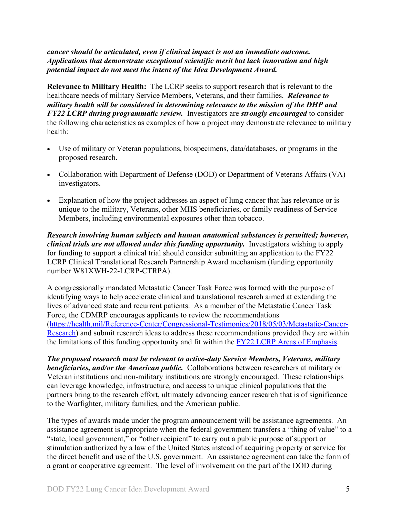*cancer should be articulated, even if clinical impact is not an immediate outcome. Applications that demonstrate exceptional scientific merit but lack innovation and high potential impact do not meet the intent of the Idea Development Award.*

**Relevance to Military Health:** The LCRP seeks to support research that is relevant to the healthcare needs of military Service Members, Veterans, and their families. *Relevance to military health will be considered in determining relevance to the mission of the DHP and FY22 LCRP during programmatic review.* Investigators are *strongly encouraged* to consider the following characteristics as examples of how a project may demonstrate relevance to military health:

- Use of military or Veteran populations, biospecimens, data/databases, or programs in the proposed research.
- Collaboration with Department of Defense (DOD) or Department of Veterans Affairs (VA) investigators.
- Explanation of how the project addresses an aspect of lung cancer that has relevance or is unique to the military, Veterans, other MHS beneficiaries, or family readiness of Service Members, including environmental exposures other than tobacco.

*Research involving human subjects and human anatomical substances is permitted; however, clinical trials are not allowed under this funding opportunity.* Investigators wishing to apply for funding to support a clinical trial should consider submitting an application to the FY22 LCRP Clinical Translational Research Partnership Award mechanism (funding opportunity number W81XWH-22-LCRP-CTRPA).

A congressionally mandated Metastatic Cancer Task Force was formed with the purpose of identifying ways to help accelerate clinical and translational research aimed at extending the lives of advanced state and recurrent patients. As a member of the Metastatic Cancer Task Force, the CDMRP encourages applicants to review the recommendations [\(https://health.mil/Reference-Center/Congressional-Testimonies/2018/05/03/Metastatic-Cancer-](https://www.health.mil/Reference-Center/Congressional-Testimonies?refVector=00100000000000&refSrc=130)[Research\)](https://www.health.mil/Reference-Center/Congressional-Testimonies?refVector=00100000000000&refSrc=130) and submit research ideas to address these recommendations provided they are within the limitations of this funding opportunity and fit within the FY22 [LCRP Areas of Emphasis.](#page-2-3)

*The proposed research must be relevant to active-duty Service Members, Veterans, military beneficiaries, and/or the American public.* Collaborations between researchers at military or Veteran institutions and non-military institutions are strongly encouraged. These relationships can leverage knowledge, infrastructure, and access to unique clinical populations that the partners bring to the research effort, ultimately advancing cancer research that is of significance to the Warfighter, military families, and the American public.

The types of awards made under the program announcement will be assistance agreements. An assistance agreement is appropriate when the federal government transfers a "thing of value" to a "state, local government," or "other recipient" to carry out a public purpose of support or stimulation authorized by a law of the United States instead of acquiring property or service for the direct benefit and use of the U.S. government. An assistance agreement can take the form of a grant or cooperative agreement. The level of involvement on the part of the DOD during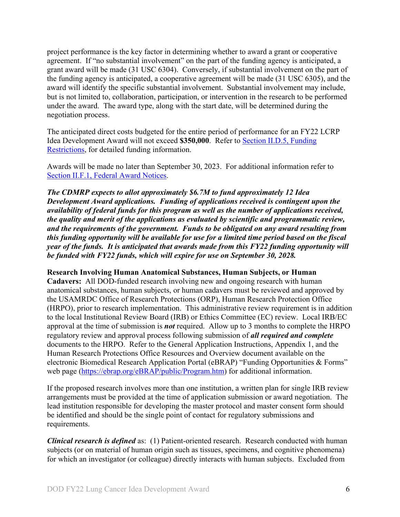project performance is the key factor in determining whether to award a grant or cooperative agreement. If "no substantial involvement" on the part of the funding agency is anticipated, a grant award will be made (31 USC 6304). Conversely, if substantial involvement on the part of the funding agency is anticipated, a cooperative agreement will be made (31 USC 6305), and the award will identify the specific substantial involvement. Substantial involvement may include, but is not limited to, collaboration, participation, or intervention in the research to be performed under the award. The award type, along with the start date, will be determined during the negotiation process.

The anticipated direct costs budgeted for the entire period of performance for an FY22 LCRP Idea Development Award will not exceed **\$350,000**. Refer to Section [II.D.5, Funding](#page-25-0)  [Restrictions,](#page-25-0) for detailed funding information.

Awards will be made no later than September 30, 2023. For additional information refer to [Section II.F.1, Federal Award Notices.](#page-30-2)

*The CDMRP expects to allot approximately \$6.7M to fund approximately 12 Idea Development Award applications. Funding of applications received is contingent upon the availability of federal funds for this program as well as the number of applications received, the quality and merit of the applications as evaluated by scientific and programmatic review, and the requirements of the government. Funds to be obligated on any award resulting from this funding opportunity will be available for use for a limited time period based on the fiscal year of the funds. It is anticipated that awards made from this FY22 funding opportunity will be funded with FY22 funds, which will expire for use on September 30, 2028.*

**Research Involving Human Anatomical Substances, Human Subjects, or Human** 

**Cadavers:** All DOD-funded research involving new and ongoing research with human anatomical substances, human subjects, or human cadavers must be reviewed and approved by the USAMRDC Office of Research Protections (ORP), Human Research Protection Office (HRPO), prior to research implementation. This administrative review requirement is in addition to the local Institutional Review Board (IRB) or Ethics Committee (EC) review. Local IRB/EC approval at the time of submission is *not* required. Allow up to 3 months to complete the HRPO regulatory review and approval process following submission of *all required and complete* documents to the HRPO. Refer to the General Application Instructions, Appendix 1, and the Human Research Protections Office Resources and Overview document available on the electronic Biomedical Research Application Portal (eBRAP) "Funding Opportunities & Forms" web page [\(https://ebrap.org/eBRAP/public/Program.htm\)](https://ebrap.org/eBRAP/public/Program.htm) for additional information.

If the proposed research involves more than one institution, a written plan for single IRB review arrangements must be provided at the time of application submission or award negotiation. The lead institution responsible for developing the master protocol and master consent form should be identified and should be the single point of contact for regulatory submissions and requirements.

*Clinical research is defined* as: (1) Patient-oriented research. Research conducted with human subjects (or on material of human origin such as tissues, specimens, and cognitive phenomena) for which an investigator (or colleague) directly interacts with human subjects. Excluded from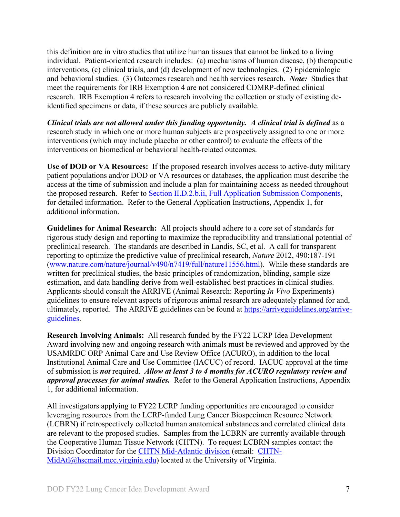this definition are in vitro studies that utilize human tissues that cannot be linked to a living individual. Patient-oriented research includes: (a) mechanisms of human disease, (b) therapeutic interventions, (c) clinical trials, and (d) development of new technologies. (2) Epidemiologic and behavioral studies. (3) Outcomes research and health services research. *Note:* Studies that meet the requirements for IRB Exemption 4 are not considered CDMRP-defined clinical research. IRB Exemption 4 refers to research involving the collection or study of existing deidentified specimens or data, if these sources are publicly available.

*Clinical trials are not allowed under this funding opportunity. A clinical trial is defined* as a research study in which one or more human subjects are prospectively assigned to one or more interventions (which may include placebo or other control) to evaluate the effects of the interventions on biomedical or behavioral health-related outcomes.

**Use of DOD or VA Resources:** If the proposed research involves access to active-duty military patient populations and/or DOD or VA resources or databases, the application must describe the access at the time of submission and include a plan for maintaining access as needed throughout the proposed research. Refer to Section [II.D.2.b.ii, Full Application Submission Components,](#page-16-0) for detailed information. Refer to the General Application Instructions, Appendix 1, for additional information.

**Guidelines for Animal Research:** All projects should adhere to a core set of standards for rigorous study design and reporting to maximize the reproducibility and translational potential of preclinical research. The standards are described in Landis, SC, et al. A call for transparent reporting to optimize the predictive value of preclinical research, *Nature* 2012, 490:187-191 [\(www.nature.com/nature/journal/v490/n7419/full/nature11556.html\)](http://www.nature.com/nature/journal/v490/n7419/full/nature11556.html). While these standards are written for preclinical studies, the basic principles of randomization, blinding, sample-size estimation, and data handling derive from well-established best practices in clinical studies. Applicants should consult the ARRIVE (Animal Research: Reporting *In Vivo* Experiments) guidelines to ensure relevant aspects of rigorous animal research are adequately planned for and, ultimately, reported. The ARRIVE guidelines can be found at [https://arriveguidelines.org/arrive](https://arriveguidelines.org/arrive-guidelines)[guidelines.](https://arriveguidelines.org/arrive-guidelines)

**Research Involving Animals:** All research funded by the FY22 LCRP Idea Development Award involving new and ongoing research with animals must be reviewed and approved by the USAMRDC ORP Animal Care and Use Review Office (ACURO), in addition to the local Institutional Animal Care and Use Committee (IACUC) of record. IACUC approval at the time of submission is *not* required. *Allow at least 3 to 4 months for ACURO regulatory review and approval processes for animal studies.* Refer to the General Application Instructions, Appendix 1, for additional information.

All investigators applying to FY22 LCRP funding opportunities are encouraged to consider leveraging resources from the LCRP-funded Lung Cancer Biospecimen Resource Network (LCBRN) if retrospectively collected human anatomical substances and correlated clinical data are relevant to the proposed studies. Samples from the LCBRN are currently available through the Cooperative Human Tissue Network (CHTN). To request LCBRN samples contact the Division Coordinator for the [CHTN Mid-Atlantic division](https://www.chtn.org/about/divisions.html) (email: [CHTN-](mailto:CHTN-MidAtl@hscmail.mcc.virginia.edu)[MidAtl@hscmail.mcc.virginia.edu\)](mailto:CHTN-MidAtl@hscmail.mcc.virginia.edu) located at the University of Virginia.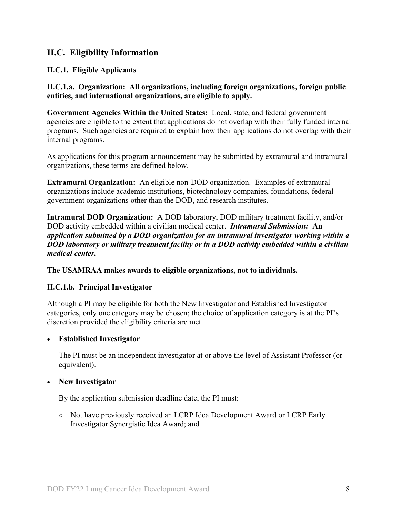## <span id="page-7-0"></span>**II.C. Eligibility Information**

## <span id="page-7-1"></span>**II.C.1. Eligible Applicants**

**II.C.1.a. Organization: All organizations, including foreign organizations, foreign public entities, and international organizations, are eligible to apply.** 

**Government Agencies Within the United States:** Local, state, and federal government agencies are eligible to the extent that applications do not overlap with their fully funded internal programs. Such agencies are required to explain how their applications do not overlap with their internal programs.

As applications for this program announcement may be submitted by extramural and intramural organizations, these terms are defined below.

**Extramural Organization:** An eligible non-DOD organization. Examples of extramural organizations include academic institutions, biotechnology companies, foundations, federal government organizations other than the DOD, and research institutes.

**Intramural DOD Organization:** A DOD laboratory, DOD military treatment facility, and/or DOD activity embedded within a civilian medical center. *Intramural Submission:* **An**  *application submitted by a DOD organization for an intramural investigator working within a DOD laboratory or military treatment facility or in a DOD activity embedded within a civilian medical center.*

**The USAMRAA makes awards to eligible organizations, not to individuals.**

## **II.C.1.b. Principal Investigator**

Although a PI may be eligible for both the New Investigator and Established Investigator categories, only one category may be chosen; the choice of application category is at the PI's discretion provided the eligibility criteria are met.

## • **Established Investigator**

The PI must be an independent investigator at or above the level of Assistant Professor (or equivalent).

#### • **New Investigator**

By the application submission deadline date, the PI must:

○ Not have previously received an LCRP Idea Development Award or LCRP Early Investigator Synergistic Idea Award; and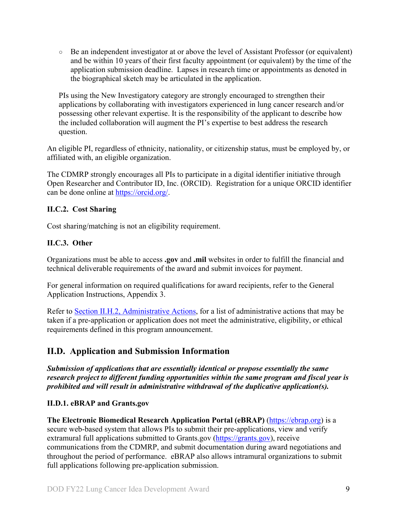○ Be an independent investigator at or above the level of Assistant Professor (or equivalent) and be within 10 years of their first faculty appointment (or equivalent) by the time of the application submission deadline. Lapses in research time or appointments as denoted in the biographical sketch may be articulated in the application.

PIs using the New Investigatory category are strongly encouraged to strengthen their applications by collaborating with investigators experienced in lung cancer research and/or possessing other relevant expertise. It is the responsibility of the applicant to describe how the included collaboration will augment the PI's expertise to best address the research question.

An eligible PI, regardless of ethnicity, nationality, or citizenship status, must be employed by, or affiliated with, an eligible organization.

The CDMRP strongly encourages all PIs to participate in a digital identifier initiative through Open Researcher and Contributor ID, Inc. (ORCID). Registration for a unique ORCID identifier can be done online at [https://orcid.org/.](https://orcid.org/)

## <span id="page-8-0"></span>**II.C.2. Cost Sharing**

Cost sharing/matching is not an eligibility requirement.

## <span id="page-8-1"></span>**II.C.3. Other**

Organizations must be able to access **.gov** and **.mil** websites in order to fulfill the financial and technical deliverable requirements of the award and submit invoices for payment.

For general information on required qualifications for award recipients, refer to the General Application Instructions, Appendix 3.

Refer to [Section II.H.2, Administrative Actions,](#page-33-3) for a list of administrative actions that may be taken if a pre-application or application does not meet the administrative, eligibility, or ethical requirements defined in this program announcement.

## <span id="page-8-2"></span>**II.D. Application and Submission Information**

*Submission of applications that are essentially identical or propose essentially the same research project to different funding opportunities within the same program and fiscal year is prohibited and will result in administrative withdrawal of the duplicative application(s).*

## <span id="page-8-3"></span>**II.D.1. eBRAP and Grants.gov**

**The Electronic Biomedical Research Application Portal (eBRAP)** [\(https://ebrap.org\)](https://ebrap.org/) is a secure web-based system that allows PIs to submit their pre-applications, view and verify extramural full applications submitted to Grants.gov [\(https://grants.gov\)](https://grants.gov/), receive communications from the CDMRP, and submit documentation during award negotiations and throughout the period of performance. eBRAP also allows intramural organizations to submit full applications following pre-application submission.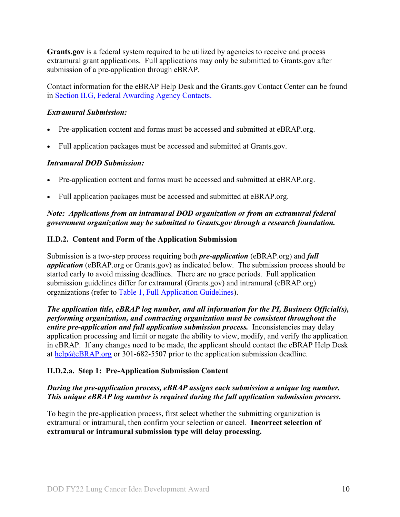**Grants.gov** is a federal system required to be utilized by agencies to receive and process extramural grant applications. Full applications may only be submitted to Grants.gov after submission of a pre-application through eBRAP.

Contact information for the eBRAP Help Desk and the Grants.gov Contact Center can be found in [Section II.G, Federal Awarding Agency Contacts.](#page-32-1)

### *Extramural Submission:*

- Pre-application content and forms must be accessed and submitted at eBRAP.org.
- Full application packages must be accessed and submitted at Grants.gov.

#### *Intramural DOD Submission:*

- Pre-application content and forms must be accessed and submitted at eBRAP.org.
- Full application packages must be accessed and submitted at eBRAP.org.

## *Note: Applications from an intramural DOD organization or from an extramural federal government organization may be submitted to Grants.gov through a research foundation.*

#### <span id="page-9-0"></span>**II.D.2. Content and Form of the Application Submission**

Submission is a two-step process requiring both *pre-application* (eBRAP.org) and *full application* (eBRAP.org or Grants.gov) as indicated below. The submission process should be started early to avoid missing deadlines. There are no grace periods. Full application submission guidelines differ for extramural (Grants.gov) and intramural (eBRAP.org) organizations (refer to [Table 1, Full Application Guidelines\)](#page-14-0).

*The application title, eBRAP log number, and all information for the PI, Business Official(s), performing organization, and contracting organization must be consistent throughout the entire pre-application and full application submission process.* Inconsistencies may delay application processing and limit or negate the ability to view, modify, and verify the application in eBRAP. If any changes need to be made, the applicant should contact the eBRAP Help Desk at [help@eBRAP.org](mailto:help@eBRAP.org) or 301-682-5507 prior to the application submission deadline.

## **II.D.2.a. Step 1: Pre-Application Submission Content**

## *During the pre-application process, eBRAP assigns each submission a unique log number. This unique eBRAP log number is required during the full application submission process***.**

To begin the pre-application process, first select whether the submitting organization is extramural or intramural, then confirm your selection or cancel. **Incorrect selection of extramural or intramural submission type will delay processing.**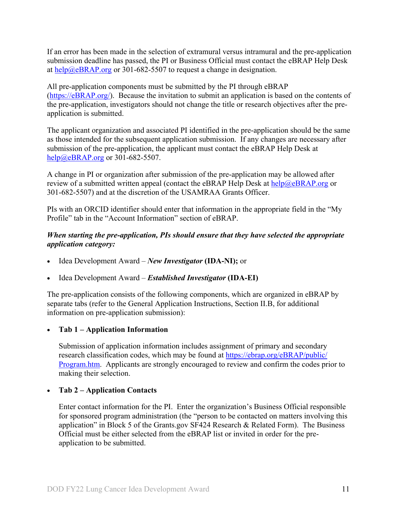If an error has been made in the selection of extramural versus intramural and the pre-application submission deadline has passed, the PI or Business Official must contact the eBRAP Help Desk at [help@eBRAP.org](mailto:help@eBRAP.org) or 301-682-5507 to request a change in designation.

All pre-application components must be submitted by the PI through eBRAP [\(https://eBRAP.org/\)](https://ebrap.org/). Because the invitation to submit an application is based on the contents of the pre-application, investigators should not change the title or research objectives after the preapplication is submitted.

The applicant organization and associated PI identified in the pre-application should be the same as those intended for the subsequent application submission. If any changes are necessary after submission of the pre-application, the applicant must contact the eBRAP Help Desk at [help@eBRAP.org](mailto:help@eBRAP.org) or 301-682-5507.

A change in PI or organization after submission of the pre-application may be allowed after review of a submitted written appeal (contact the eBRAP Help Desk at  $\frac{he}{p}$ ) eBRAP.org or 301-682-5507) and at the discretion of the USAMRAA Grants Officer.

PIs with an ORCID identifier should enter that information in the appropriate field in the "My Profile" tab in the "Account Information" section of eBRAP.

## *When starting the pre-application, PIs should ensure that they have selected the appropriate application category:*

- Idea Development Award *New Investigator* **(IDA-NI);** or
- Idea Development Award *Established Investigator* **(IDA-EI)**

The pre-application consists of the following components, which are organized in eBRAP by separate tabs (refer to the General Application Instructions, Section II.B, for additional information on pre-application submission):

## • **Tab 1 – Application Information**

Submission of application information includes assignment of primary and secondary research classification codes, which may be found at [https://ebrap.org/eBRAP/public/](https://ebrap.org/eBRAP/public/Program.htm) [Program.htm.](https://ebrap.org/eBRAP/public/Program.htm) Applicants are strongly encouraged to review and confirm the codes prior to making their selection.

## • **Tab 2 – Application Contacts**

Enter contact information for the PI. Enter the organization's Business Official responsible for sponsored program administration (the "person to be contacted on matters involving this application" in Block 5 of the Grants.gov SF424 Research & Related Form). The Business Official must be either selected from the eBRAP list or invited in order for the preapplication to be submitted.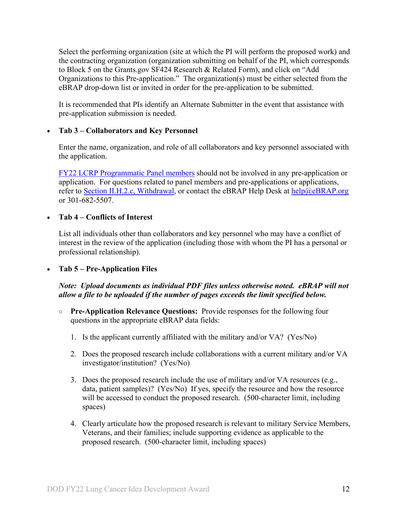Select the performing organization (site at which the PI will perform the proposed work) and the contracting organization (organization submitting on behalf of the PI, which corresponds to Block 5 on the Grants.gov SF424 Research & Related Form), and click on "Add Organizations to this Pre-application." The organization(s) must be either selected from the eBRAP drop-down list or invited in order for the pre-application to be submitted.

It is recommended that PIs identify an Alternate Submitter in the event that assistance with pre-application submission is needed.

## • **Tab 3 – Collaborators and Key Personnel**

Enter the name, organization, and role of all collaborators and key personnel associated with the application.

[FY22 LCRP Programmatic Panel members](https://cdmrp.army.mil/lcrp/panels/panels22) should not be involved in any pre-application or application. For questions related to panel members and pre-applications or applications, refer to Section [II.H.2.c, Withdrawal,](#page-34-0) or contact the eBRAP Help Desk at [help@eBRAP.org](mailto:help@eBRAP.org) or 301-682-5507.

## • **Tab 4 – Conflicts of Interest**

List all individuals other than collaborators and key personnel who may have a conflict of interest in the review of the application (including those with whom the PI has a personal or professional relationship).

• **Tab 5 – Pre-Application Files**

## *Note: Upload documents as individual PDF files unless otherwise noted. eBRAP will not allow a file to be uploaded if the number of pages exceeds the limit specified below.*

- **Pre-Application Relevance Questions:** Provide responses for the following four questions in the appropriate eBRAP data fields:
	- 1. Is the applicant currently affiliated with the military and/or VA? (Yes/No)
	- 2. Does the proposed research include collaborations with a current military and/or VA investigator/institution? (Yes/No)
	- 3. Does the proposed research include the use of military and/or VA resources (e.g., data, patient samples)? (Yes/No) If yes, specify the resource and how the resource will be accessed to conduct the proposed research. (500-character limit, including spaces)
	- 4. Clearly articulate how the proposed research is relevant to military Service Members, Veterans, and their families; include supporting evidence as applicable to the proposed research. (500-character limit, including spaces)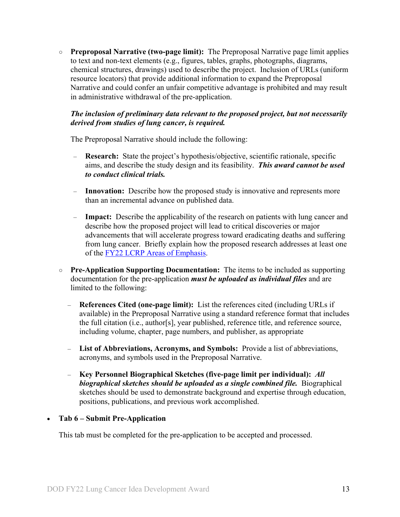○ **Preproposal Narrative (two-page limit):** The Preproposal Narrative page limit applies to text and non-text elements (e.g., figures, tables, graphs, photographs, diagrams, chemical structures, drawings) used to describe the project. Inclusion of URLs (uniform resource locators) that provide additional information to expand the Preproposal Narrative and could confer an unfair competitive advantage is prohibited and may result in administrative withdrawal of the pre-application.

## *The inclusion of preliminary data relevant to the proposed project, but not necessarily derived from studies of lung cancer, is required.*

The Preproposal Narrative should include the following:

- **Research:** State the project's hypothesis/objective, scientific rationale, specific aims, and describe the study design and its feasibility. *This award cannot be used to conduct clinical trials.*
- **Innovation:** Describe how the proposed study is innovative and represents more than an incremental advance on published data.
- **Impact:** Describe the applicability of the research on patients with lung cancer and describe how the proposed project will lead to critical discoveries or major advancements that will accelerate progress toward eradicating deaths and suffering from lung cancer. Briefly explain how the proposed research addresses at least one of the [FY22 LCRP Areas of Emphasis.](#page-2-3)
- **○ Pre-Application Supporting Documentation:** The items to be included as supporting documentation for the pre-application *must be uploaded as individual files* and are limited to the following:
	- **References Cited (one-page limit):** List the references cited (including URLs if available) in the Preproposal Narrative using a standard reference format that includes the full citation (i.e., author[s], year published, reference title, and reference source, including volume, chapter, page numbers, and publisher, as appropriate
	- **List of Abbreviations, Acronyms, and Symbols:** Provide a list of abbreviations, acronyms, and symbols used in the Preproposal Narrative.
	- **Key Personnel Biographical Sketches (five-page limit per individual):** *All biographical sketches should be uploaded as a single combined file.* Biographical sketches should be used to demonstrate background and expertise through education, positions, publications, and previous work accomplished.

## • **Tab 6 – Submit Pre-Application**

This tab must be completed for the pre-application to be accepted and processed.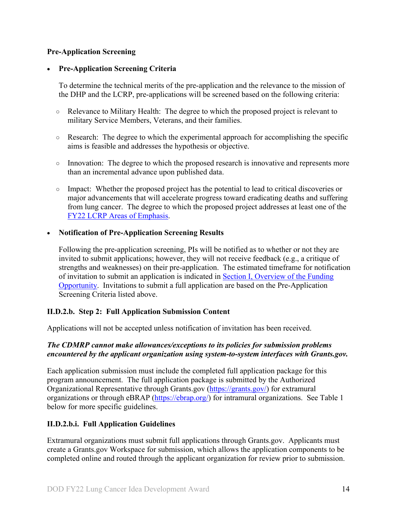### **Pre-Application Screening**

#### • **Pre-Application Screening Criteria**

To determine the technical merits of the pre-application and the relevance to the mission of the DHP and the LCRP, pre-applications will be screened based on the following criteria:

- Relevance to Military Health: The degree to which the proposed project is relevant to military Service Members, Veterans, and their families.
- $\circ$  Research: The degree to which the experimental approach for accomplishing the specific aims is feasible and addresses the hypothesis or objective.
- Innovation: The degree to which the proposed research is innovative and represents more than an incremental advance upon published data.
- Impact: Whether the proposed project has the potential to lead to critical discoveries or major advancements that will accelerate progress toward eradicating deaths and suffering from lung cancer. The degree to which the proposed project addresses at least one of the [FY22 LCRP Areas of Emphasis.](#page-2-3)

#### • **Notification of Pre-Application Screening Results**

Following the pre-application screening, PIs will be notified as to whether or not they are invited to submit applications; however, they will not receive feedback (e.g., a critique of strengths and weaknesses) on their pre-application. The estimated timeframe for notification of invitation to submit an application is indicated in Section I, Overview of the Funding [Opportunity.](#page-0-1) Invitations to submit a full application are based on the Pre-Application Screening Criteria listed above.

#### **II.D.2.b. Step 2: Full Application Submission Content**

Applications will not be accepted unless notification of invitation has been received.

#### *The CDMRP cannot make allowances/exceptions to its policies for submission problems encountered by the applicant organization using system-to-system interfaces with Grants.gov.*

Each application submission must include the completed full application package for this program announcement. The full application package is submitted by the Authorized Organizational Representative through Grants.gov [\(https://grants.gov/\)](https://www.grants.gov/) for extramural organizations or through eBRAP [\(https://ebrap.org/\)](https://ebrap.org/) for intramural organizations. See Table 1 below for more specific guidelines.

## **II.D.2.b.i. Full Application Guidelines**

Extramural organizations must submit full applications through Grants.gov. Applicants must create a Grants.gov Workspace for submission, which allows the application components to be completed online and routed through the applicant organization for review prior to submission.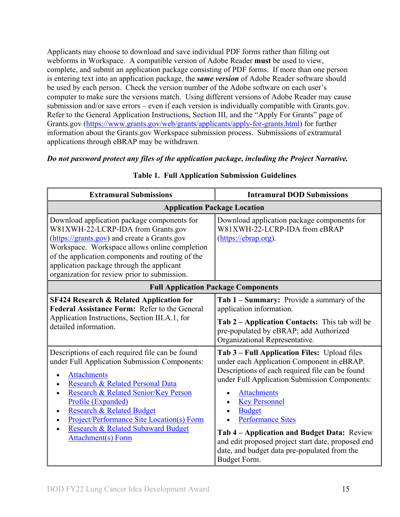Applicants may choose to download and save individual PDF forms rather than filling out webforms in Workspace. A compatible version of Adobe Reader **must** be used to view, complete, and submit an application package consisting of PDF forms. If more than one person is entering text into an application package, the *same version* of Adobe Reader software should be used by each person. Check the version number of the Adobe software on each user's computer to make sure the versions match. Using different versions of Adobe Reader may cause submission and/or save errors – even if each version is individually compatible with Grants.gov. Refer to the General Application Instructions, Section III, and the "Apply For Grants" page of Grants.gov [\(https://www.grants.gov/web/grants/applicants/apply-for-grants.html\)](https://www.grants.gov/web/grants/applicants/apply-for-grants.html) for further information about the Grants.gov Workspace submission process. Submissions of extramural applications through eBRAP may be withdrawn.

*Do not password protect any files of the application package, including the Project Narrative.*

<span id="page-14-0"></span>

| <b>Extramural Submissions</b>                                                                                                                                                                                                                                                                                                                                                                                           | <b>Intramural DOD Submissions</b>                                                                                                                                                                                                                                                                                                                                                                                                                              |  |  |
|-------------------------------------------------------------------------------------------------------------------------------------------------------------------------------------------------------------------------------------------------------------------------------------------------------------------------------------------------------------------------------------------------------------------------|----------------------------------------------------------------------------------------------------------------------------------------------------------------------------------------------------------------------------------------------------------------------------------------------------------------------------------------------------------------------------------------------------------------------------------------------------------------|--|--|
| <b>Application Package Location</b>                                                                                                                                                                                                                                                                                                                                                                                     |                                                                                                                                                                                                                                                                                                                                                                                                                                                                |  |  |
| Download application package components for<br>W81XWH-22-LCRP-IDA from Grants.gov<br>(https://grants.gov) and create a Grants.gov<br>Workspace. Workspace allows online completion<br>of the application components and routing of the<br>application package through the applicant<br>organization for review prior to submission.                                                                                     | Download application package components for<br>W81XWH-22-LCRP-IDA from eBRAP<br>(https://ebrap.org).                                                                                                                                                                                                                                                                                                                                                           |  |  |
| <b>Full Application Package Components</b>                                                                                                                                                                                                                                                                                                                                                                              |                                                                                                                                                                                                                                                                                                                                                                                                                                                                |  |  |
| <b>SF424 Research &amp; Related Application for</b><br>Federal Assistance Form: Refer to the General<br>Application Instructions, Section III.A.1, for<br>detailed information.                                                                                                                                                                                                                                         | Tab 1 – Summary: Provide a summary of the<br>application information.<br>Tab 2 - Application Contacts: This tab will be<br>pre-populated by eBRAP; add Authorized<br>Organizational Representative.                                                                                                                                                                                                                                                            |  |  |
| Descriptions of each required file can be found<br>under Full Application Submission Components:<br><b>Attachments</b><br>$\bullet$<br>Research & Related Personal Data<br>Research & Related Senior/Key Person<br>$\bullet$<br>Profile (Expanded)<br><b>Research &amp; Related Budget</b><br>$\bullet$<br><b>Project/Performance Site Location(s) Form</b><br>Research & Related Subaward Budget<br>Attachment(s) Form | Tab 3 - Full Application Files: Upload files<br>under each Application Component in eBRAP.<br>Descriptions of each required file can be found<br>under Full Application Submission Components:<br><b>Attachments</b><br><b>Key Personnel</b><br><b>Budget</b><br><b>Performance Sites</b><br>Tab 4 – Application and Budget Data: Review<br>and edit proposed project start date, proposed end<br>date, and budget data pre-populated from the<br>Budget Form. |  |  |

## **Table 1. Full Application Submission Guidelines**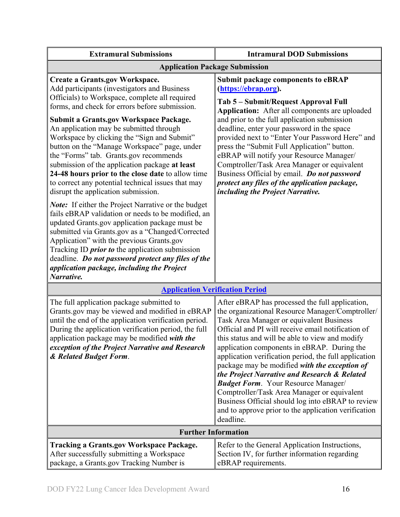| <b>Extramural Submissions</b>                                                                                                                                                                                                                                                                                                                                                                                                                                                                                                                                                                                                                                                                                                                                                                                                                         | <b>Intramural DOD Submissions</b>                                                                                                                                                                                                                                                                                                                                                                                                                                                                                                                                                                                                                                                        |  |  |
|-------------------------------------------------------------------------------------------------------------------------------------------------------------------------------------------------------------------------------------------------------------------------------------------------------------------------------------------------------------------------------------------------------------------------------------------------------------------------------------------------------------------------------------------------------------------------------------------------------------------------------------------------------------------------------------------------------------------------------------------------------------------------------------------------------------------------------------------------------|------------------------------------------------------------------------------------------------------------------------------------------------------------------------------------------------------------------------------------------------------------------------------------------------------------------------------------------------------------------------------------------------------------------------------------------------------------------------------------------------------------------------------------------------------------------------------------------------------------------------------------------------------------------------------------------|--|--|
| <b>Application Package Submission</b>                                                                                                                                                                                                                                                                                                                                                                                                                                                                                                                                                                                                                                                                                                                                                                                                                 |                                                                                                                                                                                                                                                                                                                                                                                                                                                                                                                                                                                                                                                                                          |  |  |
| <b>Create a Grants.gov Workspace.</b><br>Add participants (investigators and Business<br>Officials) to Workspace, complete all required<br>forms, and check for errors before submission.<br>Submit a Grants.gov Workspace Package.<br>An application may be submitted through<br>Workspace by clicking the "Sign and Submit"<br>button on the "Manage Workspace" page, under<br>the "Forms" tab. Grants.gov recommends<br>submission of the application package at least<br>24-48 hours prior to the close date to allow time<br>to correct any potential technical issues that may<br>disrupt the application submission.<br><b>Note:</b> If either the Project Narrative or the budget<br>fails eBRAP validation or needs to be modified, an<br>updated Grants.gov application package must be<br>submitted via Grants.gov as a "Changed/Corrected | <b>Submit package components to eBRAP</b><br>(https://ebrap.org).<br>Tab 5 – Submit/Request Approval Full<br>Application: After all components are uploaded<br>and prior to the full application submission<br>deadline, enter your password in the space<br>provided next to "Enter Your Password Here" and<br>press the "Submit Full Application" button.<br>eBRAP will notify your Resource Manager/<br>Comptroller/Task Area Manager or equivalent<br>Business Official by email. Do not password<br>protect any files of the application package,<br>including the Project Narrative.                                                                                               |  |  |
| Application" with the previous Grants.gov<br>Tracking ID <i>prior to</i> the application submission<br>deadline. Do not password protect any files of the<br>application package, including the Project<br>Narrative.                                                                                                                                                                                                                                                                                                                                                                                                                                                                                                                                                                                                                                 |                                                                                                                                                                                                                                                                                                                                                                                                                                                                                                                                                                                                                                                                                          |  |  |
| <b>Application Verification Period</b>                                                                                                                                                                                                                                                                                                                                                                                                                                                                                                                                                                                                                                                                                                                                                                                                                |                                                                                                                                                                                                                                                                                                                                                                                                                                                                                                                                                                                                                                                                                          |  |  |
| The full application package submitted to<br>Grants.gov may be viewed and modified in eBRAP<br>until the end of the application verification period.<br>During the application verification period, the full<br>application package may be modified with the<br>exception of the Project Narrative and Research<br>& Related Budget Form.                                                                                                                                                                                                                                                                                                                                                                                                                                                                                                             | After eBRAP has processed the full application,<br>the organizational Resource Manager/Comptroller/<br>Task Area Manager or equivalent Business<br>Official and PI will receive email notification of<br>this status and will be able to view and modify<br>application components in eBRAP. During the<br>application verification period, the full application<br>package may be modified with the exception of<br>the Project Narrative and Research & Related<br><b>Budget Form.</b> Your Resource Manager/<br>Comptroller/Task Area Manager or equivalent<br>Business Official should log into eBRAP to review<br>and to approve prior to the application verification<br>deadline. |  |  |
| <b>Further Information</b>                                                                                                                                                                                                                                                                                                                                                                                                                                                                                                                                                                                                                                                                                                                                                                                                                            |                                                                                                                                                                                                                                                                                                                                                                                                                                                                                                                                                                                                                                                                                          |  |  |
| <b>Tracking a Grants.gov Workspace Package.</b><br>After successfully submitting a Workspace<br>package, a Grants.gov Tracking Number is                                                                                                                                                                                                                                                                                                                                                                                                                                                                                                                                                                                                                                                                                                              | Refer to the General Application Instructions,<br>Section IV, for further information regarding<br>eBRAP requirements.                                                                                                                                                                                                                                                                                                                                                                                                                                                                                                                                                                   |  |  |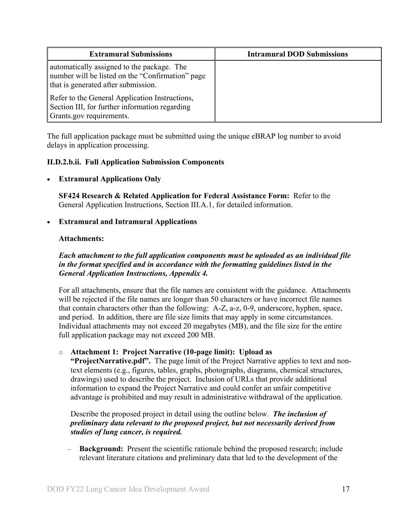| <b>Extramural Submissions</b>                                                                                                         | <b>Intramural DOD Submissions</b> |
|---------------------------------------------------------------------------------------------------------------------------------------|-----------------------------------|
| automatically assigned to the package. The<br>number will be listed on the "Confirmation" page<br>that is generated after submission. |                                   |
| Refer to the General Application Instructions,<br>Section III, for further information regarding<br>Grants.gov requirements.          |                                   |

The full application package must be submitted using the unique eBRAP log number to avoid delays in application processing.

## <span id="page-16-0"></span>**II.D.2.b.ii. Full Application Submission Components**

## • **Extramural Applications Only**

**SF424 Research & Related Application for Federal Assistance Form:** Refer to the General Application Instructions, Section III.A.1, for detailed information.

## • **Extramural and Intramural Applications**

#### <span id="page-16-1"></span>**Attachments:**

## *Each attachment to the full application components must be uploaded as an individual file in the format specified and in accordance with the formatting guidelines listed in the General Application Instructions, Appendix 4.*

For all attachments, ensure that the file names are consistent with the guidance. Attachments will be rejected if the file names are longer than 50 characters or have incorrect file names that contain characters other than the following: A-Z, a-z, 0-9, underscore, hyphen, space, and period. In addition, there are file size limits that may apply in some circumstances. Individual attachments may not exceed 20 megabytes (MB), and the file size for the entire full application package may not exceed 200 MB.

○ **Attachment 1: Project Narrative (10-page limit): Upload as** 

**"ProjectNarrative.pdf".** The page limit of the Project Narrative applies to text and nontext elements (e.g., figures, tables, graphs, photographs, diagrams, chemical structures, drawings) used to describe the project. Inclusion of URLs that provide additional information to expand the Project Narrative and could confer an unfair competitive advantage is prohibited and may result in administrative withdrawal of the application.

Describe the proposed project in detail using the outline below. *The inclusion of preliminary data relevant to the proposed project, but not necessarily derived from studies of lung cancer, is required.* 

– **Background:** Present the scientific rationale behind the proposed research; include relevant literature citations and preliminary data that led to the development of the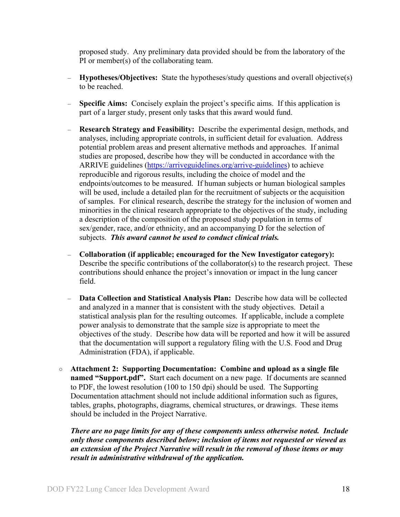proposed study. Any preliminary data provided should be from the laboratory of the PI or member(s) of the collaborating team.

- **Hypotheses/Objectives:** State the hypotheses/study questions and overall objective(s) to be reached.
- **Specific Aims:** Concisely explain the project's specific aims. If this application is part of a larger study, present only tasks that this award would fund.
- **Research Strategy and Feasibility:** Describe the experimental design, methods, and analyses, including appropriate controls, in sufficient detail for evaluation. Address potential problem areas and present alternative methods and approaches. If animal studies are proposed, describe how they will be conducted in accordance with the ARRIVE guidelines [\(https://arriveguidelines.org/arrive-guidelines\)](https://arriveguidelines.org/arrive-guidelines) to achieve reproducible and rigorous results, including the choice of model and the endpoints/outcomes to be measured. If human subjects or human biological samples will be used, include a detailed plan for the recruitment of subjects or the acquisition of samples. For clinical research, describe the strategy for the inclusion of women and minorities in the clinical research appropriate to the objectives of the study, including a description of the composition of the proposed study population in terms of sex/gender, race, and/or ethnicity, and an accompanying D for the selection of subjects. *This award cannot be used to conduct clinical trials.*
- **Collaboration (if applicable; encouraged for the New Investigator category):** Describe the specific contributions of the collaborator(s) to the research project. These contributions should enhance the project's innovation or impact in the lung cancer field.
- **Data Collection and Statistical Analysis Plan:** Describe how data will be collected and analyzed in a manner that is consistent with the study objectives. Detail a statistical analysis plan for the resulting outcomes. If applicable, include a complete power analysis to demonstrate that the sample size is appropriate to meet the objectives of the study. Describe how data will be reported and how it will be assured that the documentation will support a regulatory filing with the U.S. Food and Drug Administration (FDA), if applicable.
- **Attachment 2: Supporting Documentation: Combine and upload as a single file named "Support.pdf".** Start each document on a new page. If documents are scanned to PDF, the lowest resolution (100 to 150 dpi) should be used. The Supporting Documentation attachment should not include additional information such as figures, tables, graphs, photographs, diagrams, chemical structures, or drawings. These items should be included in the Project Narrative.

*There are no page limits for any of these components unless otherwise noted. Include only those components described below; inclusion of items not requested or viewed as an extension of the Project Narrative will result in the removal of those items or may result in administrative withdrawal of the application.*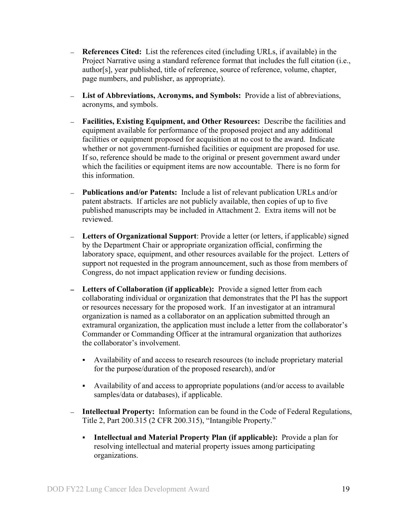- **References Cited:** List the references cited (including URLs, if available) in the Project Narrative using a standard reference format that includes the full citation (i.e., author[s], year published, title of reference, source of reference, volume, chapter, page numbers, and publisher, as appropriate).
- **List of Abbreviations, Acronyms, and Symbols:** Provide a list of abbreviations, acronyms, and symbols.
- **Facilities, Existing Equipment, and Other Resources:** Describe the facilities and equipment available for performance of the proposed project and any additional facilities or equipment proposed for acquisition at no cost to the award. Indicate whether or not government-furnished facilities or equipment are proposed for use. If so, reference should be made to the original or present government award under which the facilities or equipment items are now accountable. There is no form for this information.
- **Publications and/or Patents:** Include a list of relevant publication URLs and/or patent abstracts. If articles are not publicly available, then copies of up to five published manuscripts may be included in Attachment 2. Extra items will not be reviewed.
- **Letters of Organizational Support**: Provide a letter (or letters, if applicable) signed by the Department Chair or appropriate organization official, confirming the laboratory space, equipment, and other resources available for the project. Letters of support not requested in the program announcement, such as those from members of Congress, do not impact application review or funding decisions.
- **Letters of Collaboration (if applicable):** Provide a signed letter from each collaborating individual or organization that demonstrates that the PI has the support or resources necessary for the proposed work. If an investigator at an intramural organization is named as a collaborator on an application submitted through an extramural organization, the application must include a letter from the collaborator's Commander or Commanding Officer at the intramural organization that authorizes the collaborator's involvement.
	- Availability of and access to research resources (to include proprietary material for the purpose/duration of the proposed research), and/or
	- Availability of and access to appropriate populations (and/or access to available samples/data or databases), if applicable.
- **Intellectual Property:** Information can be found in the Code of Federal Regulations, Title 2, Part 200.315 (2 CFR 200.315), "Intangible Property."
	- **Intellectual and Material Property Plan (if applicable):** Provide a plan for resolving intellectual and material property issues among participating organizations.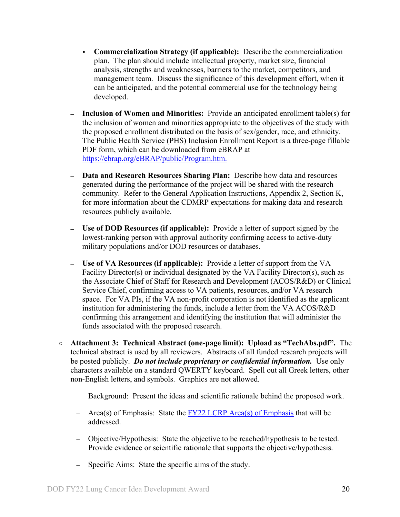- **Commercialization Strategy (if applicable):** Describe the commercialization plan. The plan should include intellectual property, market size, financial analysis, strengths and weaknesses, barriers to the market, competitors, and management team. Discuss the significance of this development effort, when it can be anticipated, and the potential commercial use for the technology being developed.
- **Inclusion of Women and Minorities:** Provide an anticipated enrollment table(s) for the inclusion of women and minorities appropriate to the objectives of the study with the proposed enrollment distributed on the basis of sex/gender, race, and ethnicity. The Public Health Service (PHS) Inclusion Enrollment Report is a three-page fillable PDF form, which can be downloaded from eBRAP at [https://ebrap.org/eBRAP/public/Program.htm.](https://ebrap.org/eBRAP/public/Program.htm)
- **Data and Research Resources Sharing Plan:** Describe how data and resources generated during the performance of the project will be shared with the research community. Refer to the General Application Instructions, Appendix 2, Section K, for more information about the CDMRP expectations for making data and research resources publicly available.
- **Use of DOD Resources (if applicable):** Provide a letter of support signed by the  $\equiv$ lowest-ranking person with approval authority confirming access to active-duty military populations and/or DOD resources or databases.
- **Use of VA Resources (if applicable):** Provide a letter of support from the VA Facility Director(s) or individual designated by the VA Facility Director(s), such as the Associate Chief of Staff for Research and Development (ACOS/R&D) or Clinical Service Chief, confirming access to VA patients, resources, and/or VA research space. For VA PIs, if the VA non-profit corporation is not identified as the applicant institution for administering the funds, include a letter from the VA ACOS/R&D confirming this arrangement and identifying the institution that will administer the funds associated with the proposed research.
- **Attachment 3: Technical Abstract (one-page limit): Upload as "TechAbs.pdf".** The technical abstract is used by all reviewers. Abstracts of all funded research projects will be posted publicly. *Do not include proprietary or confidential information.* Use only characters available on a standard QWERTY keyboard. Spell out all Greek letters, other non-English letters, and symbols. Graphics are not allowed.
	- Background: Present the ideas and scientific rationale behind the proposed work.
	- Area(s) of Emphasis: State the [FY22 LCRP Area\(s\) of Emphasis](#page-2-3) that will be addressed.
	- Objective/Hypothesis: State the objective to be reached/hypothesis to be tested. Provide evidence or scientific rationale that supports the objective/hypothesis.
	- Specific Aims: State the specific aims of the study.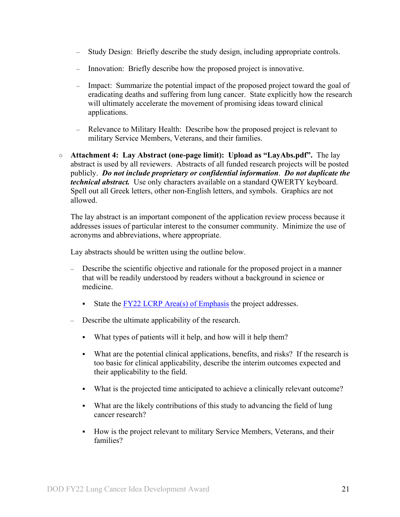- Study Design: Briefly describe the study design, including appropriate controls.
- Innovation: Briefly describe how the proposed project is innovative.
- Impact: Summarize the potential impact of the proposed project toward the goal of eradicating deaths and suffering from lung cancer. State explicitly how the research will ultimately accelerate the movement of promising ideas toward clinical applications.
- Relevance to Military Health: Describe how the proposed project is relevant to military Service Members, Veterans, and their families.
- **Attachment 4: Lay Abstract (one-page limit): Upload as "LayAbs.pdf".** The lay abstract is used by all reviewers. Abstracts of all funded research projects will be posted publicly. *Do not include proprietary or confidential information*. *Do not duplicate the technical abstract.* Use only characters available on a standard QWERTY keyboard. Spell out all Greek letters, other non-English letters, and symbols. Graphics are not allowed.

The lay abstract is an important component of the application review process because it addresses issues of particular interest to the consumer community. Minimize the use of acronyms and abbreviations, where appropriate.

Lay abstracts should be written using the outline below.

- Describe the scientific objective and rationale for the proposed project in a manner that will be readily understood by readers without a background in science or medicine.
	- State the  $FY22$  LCRP Area(s) of Emphasis the project addresses.
- Describe the ultimate applicability of the research.
	- What types of patients will it help, and how will it help them?
	- What are the potential clinical applications, benefits, and risks? If the research is too basic for clinical applicability, describe the interim outcomes expected and their applicability to the field.
	- What is the projected time anticipated to achieve a clinically relevant outcome?
	- What are the likely contributions of this study to advancing the field of lung cancer research?
	- How is the project relevant to military Service Members, Veterans, and their families?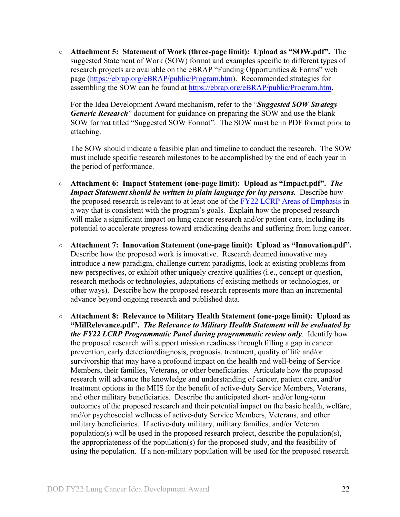○ **Attachment 5: Statement of Work (three-page limit): Upload as "SOW.pdf".** The suggested Statement of Work (SOW) format and examples specific to different types of research projects are available on the eBRAP "Funding Opportunities & Forms" web page [\(https://ebrap.org/eBRAP/public/Program.htm\)](https://ebrap.org/eBRAP/public/Program.htm). Recommended strategies for assembling the SOW can be found at [https://ebrap.org/eBRAP/public/Program.htm.](https://ebrap.org/eBRAP/public/Program.htm)

For the Idea Development Award mechanism, refer to the "*Suggested SOW Strategy Generic Research*" document for guidance on preparing the SOW and use the blank SOW format titled "Suggested SOW Format". The SOW must be in PDF format prior to attaching.

The SOW should indicate a feasible plan and timeline to conduct the research. The SOW must include specific research milestones to be accomplished by the end of each year in the period of performance.

- **Attachment 6: Impact Statement (one-page limit): Upload as "Impact.pdf".** *The Impact Statement should be written in plain language for lay persons.* Describe how the proposed research is relevant to at least one of the [FY22 LCRP Areas of Emphasis](#page-2-3) in a way that is consistent with the program's goals. Explain how the proposed research will make a significant impact on lung cancer research and/or patient care, including its potential to accelerate progress toward eradicating deaths and suffering from lung cancer.
- **Attachment 7: Innovation Statement (one-page limit): Upload as "Innovation.pdf".** Describe how the proposed work is innovative. Research deemed innovative may introduce a new paradigm, challenge current paradigms, look at existing problems from new perspectives, or exhibit other uniquely creative qualities (i.e., concept or question, research methods or technologies, adaptations of existing methods or technologies, or other ways). Describe how the proposed research represents more than an incremental advance beyond ongoing research and published data.
- **Attachment 8: Relevance to Military Health Statement (one-page limit): Upload as "MilRelevance.pdf".** *The Relevance to Military Health Statement will be evaluated by the FY22 LCRP Programmatic Panel during programmatic review only*. Identify how the proposed research will support mission readiness through filling a gap in cancer prevention, early detection/diagnosis, prognosis, treatment, quality of life and/or survivorship that may have a profound impact on the health and well-being of Service Members, their families, Veterans, or other beneficiaries. Articulate how the proposed research will advance the knowledge and understanding of cancer, patient care, and/or treatment options in the MHS for the benefit of active-duty Service Members, Veterans, and other military beneficiaries. Describe the anticipated short- and/or long-term outcomes of the proposed research and their potential impact on the basic health, welfare, and/or psychosocial wellness of active-duty Service Members, Veterans, and other military beneficiaries. If active-duty military, military families, and/or Veteran population(s) will be used in the proposed research project, describe the population(s), the appropriateness of the population(s) for the proposed study, and the feasibility of using the population. If a non-military population will be used for the proposed research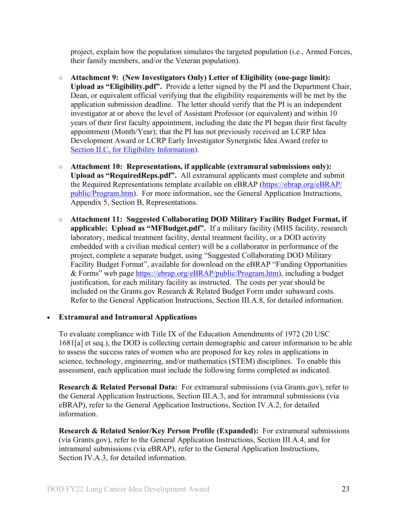project, explain how the population simulates the targeted population (i.e., Armed Forces, their family members, and/or the Veteran population).

- **Attachment 9: (New Investigators Only) Letter of Eligibility (one-page limit): Upload as "Eligibility.pdf".** Provide a letter signed by the PI and the Department Chair, Dean, or equivalent official verifying that the eligibility requirements will be met by the application submission deadline. The letter should verify that the PI is an independent investigator at or above the level of Assistant Professor (or equivalent) and within 10 years of their first faculty appointment, including the date the PI began their first faculty appointment (Month/Year); that the PI has not previously received an LCRP Idea Development Award or LCRP Early Investigator Synergistic Idea Award (refer to Section [II.C, for Eligibility Information\)](#page-7-0).
- **Attachment 10: Representations, if applicable (extramural submissions only): Upload as "RequiredReps.pdf".** All extramural applicants must complete and submit the Required Representations template available on eBRAP [\(https://ebrap.org/eBRAP/](https://ebrap.org/eBRAP/public/Program.htm) [public/Program.htm\)](https://ebrap.org/eBRAP/public/Program.htm). For more information, see the General Application Instructions, Appendix 5, Section B, Representations.
- <span id="page-22-2"></span>○ **Attachment 11: Suggested Collaborating DOD Military Facility Budget Format, if applicable: Upload as "MFBudget.pdf".** If a military facility (MHS facility, research laboratory, medical treatment facility, dental treatment facility, or a DOD activity embedded with a civilian medical center) will be a collaborator in performance of the project, complete a separate budget, using "Suggested Collaborating DOD Military Facility Budget Format", available for download on the eBRAP "Funding Opportunities & Forms" web page [https://ebrap.org/eBRAP/public/Program.htm\)](https://ebrap.org/eBRAP/public/Program.htm), including a budget justification, for each military facility as instructed. The costs per year should be included on the Grants.gov Research & Related Budget Form under subaward costs. Refer to the General Application Instructions, Section III.A.8, for detailed information.

#### • **Extramural and Intramural Applications**

To evaluate compliance with Title IX of the Education Amendments of 1972 (20 USC 1681[a] et seq.), the DOD is collecting certain demographic and career information to be able to assess the success rates of women who are proposed for key roles in applications in science, technology, engineering, and/or mathematics (STEM) disciplines. To enable this assessment, each application must include the following forms completed as indicated.

<span id="page-22-0"></span>**Research & Related Personal Data:** For extramural submissions (via Grants.gov), refer to the General Application Instructions, Section III.A.3, and for intramural submissions (via eBRAP), refer to the General Application Instructions, Section IV.A.2, for detailed information.

<span id="page-22-1"></span>**Research & Related Senior/Key Person Profile (Expanded):** For extramural submissions (via Grants.gov), refer to the General Application Instructions, Section III.A.4, and for intramural submissions (via eBRAP), refer to the General Application Instructions, Section IV.A.3, for detailed information.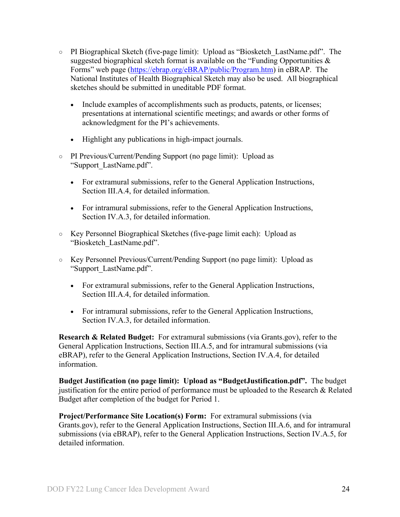- PI Biographical Sketch (five-page limit): Upload as "Biosketch\_LastName.pdf". The suggested biographical sketch format is available on the "Funding Opportunities  $\&$ Forms" web page [\(https://ebrap.org/eBRAP/public/Program.htm\)](https://ebrap.org/eBRAP/public/Program.htm) in eBRAP. The National Institutes of Health Biographical Sketch may also be used. All biographical sketches should be submitted in uneditable PDF format.
	- Include examples of accomplishments such as products, patents, or licenses; presentations at international scientific meetings; and awards or other forms of acknowledgment for the PI's achievements.
	- Highlight any publications in high-impact journals.
- PI Previous/Current/Pending Support (no page limit): Upload as "Support\_LastName.pdf".
	- For extramural submissions, refer to the General Application Instructions, Section III.A.4, for detailed information.
	- For intramural submissions, refer to the General Application Instructions, Section IV.A.3, for detailed information.
- Key Personnel Biographical Sketches (five-page limit each): Upload as "Biosketch\_LastName.pdf".
- Key Personnel Previous/Current/Pending Support (no page limit): Upload as "Support\_LastName.pdf".
	- For extramural submissions, refer to the General Application Instructions, Section III.A.4, for detailed information.
	- For intramural submissions, refer to the General Application Instructions, Section IV.A.3, for detailed information.

<span id="page-23-0"></span>**Research & Related Budget:** For extramural submissions (via Grants.gov), refer to the General Application Instructions, Section III.A.5, and for intramural submissions (via eBRAP), refer to the General Application Instructions, Section IV.A.4, for detailed information.

**Budget Justification (no page limit): Upload as "BudgetJustification.pdf".** The budget justification for the entire period of performance must be uploaded to the Research & Related Budget after completion of the budget for Period 1.

<span id="page-23-1"></span>**Project/Performance Site Location(s) Form:** For extramural submissions (via Grants.gov), refer to the General Application Instructions, Section III.A.6, and for intramural submissions (via eBRAP), refer to the General Application Instructions, Section IV.A.5, for detailed information.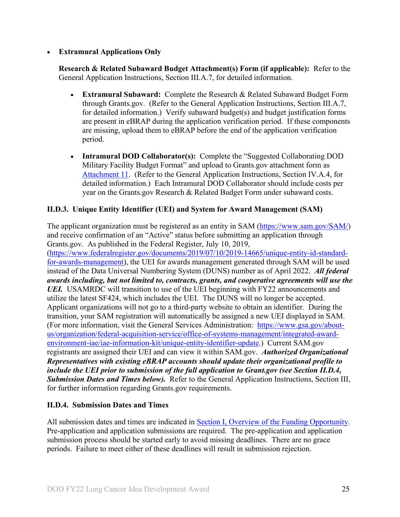## • **Extramural Applications Only**

<span id="page-24-2"></span>**Research & Related Subaward Budget Attachment(s) Form (if applicable):** Refer to the General Application Instructions, Section III.A.7, for detailed information.

- **Extramural Subaward:** Complete the Research & Related Subaward Budget Form through Grants.gov. (Refer to the General Application Instructions, Section III.A.7, for detailed information.) Verify subaward budget(s) and budget justification forms are present in eBRAP during the application verification period. If these components are missing, upload them to eBRAP before the end of the application verification period.
- **Intramural DOD Collaborator(s):** Complete the "Suggested Collaborating DOD Military Facility Budget Format" and upload to Grants.gov attachment form as [Attachment 11.](#page-22-2) (Refer to the General Application Instructions, Section IV.A.4, for detailed information.) Each Intramural DOD Collaborator should include costs per year on the Grants.gov Research & Related Budget Form under subaward costs.

## <span id="page-24-0"></span>**II.D.3. Unique Entity Identifier (UEI) and System for Award Management (SAM)**

The applicant organization must be registered as an entity in SAM [\(https://www.sam.gov/SAM/\)](https://www.sam.gov/SAM/) and receive confirmation of an "Active" status before submitting an application through Grants.gov. As published in the Federal Register, July 10, 2019, [\(https://www.federalregister.gov/documents/2019/07/10/2019-14665/unique-entity-id-standard](https://www.federalregister.gov/documents/2019/07/10/2019-14665/unique-entity-id-standard-for-awards-management)[for-awards-management\)](https://www.federalregister.gov/documents/2019/07/10/2019-14665/unique-entity-id-standard-for-awards-management), the UEI for awards management generated through SAM will be used instead of the Data Universal Numbering System (DUNS) number as of April 2022. *All federal awards including, but not limited to, contracts, grants, and cooperative agreements will use the UEI.* USAMRDC will transition to use of the UEI beginning with FY22 announcements and utilize the latest SF424, which includes the UEI. The DUNS will no longer be accepted. Applicant organizations will not go to a third-party website to obtain an identifier. During the transition, your SAM registration will automatically be assigned a new UEI displayed in SAM. (For more information, visit the General Services Administration: [https://www.gsa.gov/about](https://www.gsa.gov/about-us/organization/federal-acquisition-service/office-of-systems-management/integrated-award-environment-iae/iae-information-kit/unique-entity-identifier-update)[us/organization/federal-acquisition-service/office-of-systems-management/integrated-award](https://www.gsa.gov/about-us/organization/federal-acquisition-service/office-of-systems-management/integrated-award-environment-iae/iae-information-kit/unique-entity-identifier-update)[environment-iae/iae-information-kit/unique-entity-identifier-update.](https://www.gsa.gov/about-us/organization/federal-acquisition-service/office-of-systems-management/integrated-award-environment-iae/iae-information-kit/unique-entity-identifier-update)) Current SAM.gov registrants are assigned their UEI and can view it within SAM.gov. *Authorized Organizational Representatives with existing eBRAP accounts should update their organizational profile to include the UEI prior to submission of the full application to Grant.gov (see Section II.D.4, Submission Dates and Times below).* Refer to the General Application Instructions, Section III, for further information regarding Grants.gov requirements.

## <span id="page-24-1"></span>**II.D.4. Submission Dates and Times**

All submission dates and times are indicated in [Section I, Overview of the Funding Opportunity.](#page-0-1) Pre-application and application submissions are required. The pre-application and application submission process should be started early to avoid missing deadlines. There are no grace periods. Failure to meet either of these deadlines will result in submission rejection.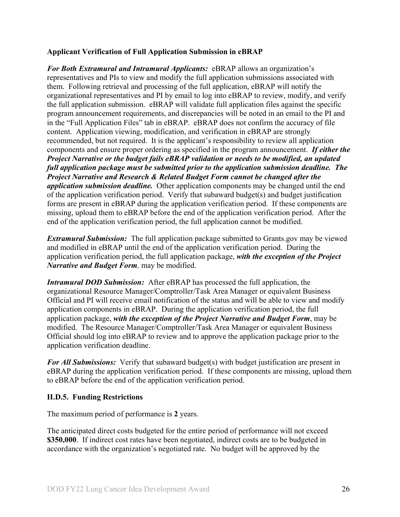## <span id="page-25-1"></span>**Applicant Verification of Full Application Submission in eBRAP**

*For Both Extramural and Intramural Applicants:* eBRAP allows an organization's representatives and PIs to view and modify the full application submissions associated with them. Following retrieval and processing of the full application, eBRAP will notify the organizational representatives and PI by email to log into eBRAP to review, modify, and verify the full application submission. eBRAP will validate full application files against the specific program announcement requirements, and discrepancies will be noted in an email to the PI and in the "Full Application Files" tab in eBRAP. eBRAP does not confirm the accuracy of file content. Application viewing, modification, and verification in eBRAP are strongly recommended, but not required. It is the applicant's responsibility to review all application components and ensure proper ordering as specified in the program announcement. *If either the Project Narrative or the budget fails eBRAP validation or needs to be modified, an updated full application package must be submitted prior to the application submission deadline. The Project Narrative and Research & Related Budget Form cannot be changed after the application submission deadline.* Other application components may be changed until the end of the [application verification period.](#page-0-0) Verify that subaward budget(s) and budget justification forms are present in eBRAP during the application verification period. If these components are missing, upload them to eBRAP before the end of the application verification period. After the end of the application verification period, the full application cannot be modified.

*Extramural Submission:* The full application package submitted to Grants.gov may be viewed and modified in eBRAP until the end of the application verification period. During the application verification period, the full application package, *with the exception of the Project Narrative and Budget Form,* may be modified.

*Intramural DOD Submission:* After eBRAP has processed the full application, the organizational Resource Manager/Comptroller/Task Area Manager or equivalent Business Official and PI will receive email notification of the status and will be able to view and modify application components in eBRAP. During the application verification period, the full application package, *with the exception of the Project Narrative and Budget Form*, may be modified. The Resource Manager/Comptroller/Task Area Manager or equivalent Business Official should log into eBRAP to review and to approve the application package prior to the application verification deadline.

*For All Submissions:* Verify that subaward budget(s) with budget justification are present in eBRAP during the application verification period. If these components are missing, upload them to eBRAP before the end of the application verification period.

## <span id="page-25-0"></span>**II.D.5. Funding Restrictions**

The maximum period of performance is **2** years.

The anticipated direct costs budgeted for the entire period of performance will not exceed **\$350,000**. If indirect cost rates have been negotiated, indirect costs are to be budgeted in accordance with the organization's negotiated rate. No budget will be approved by the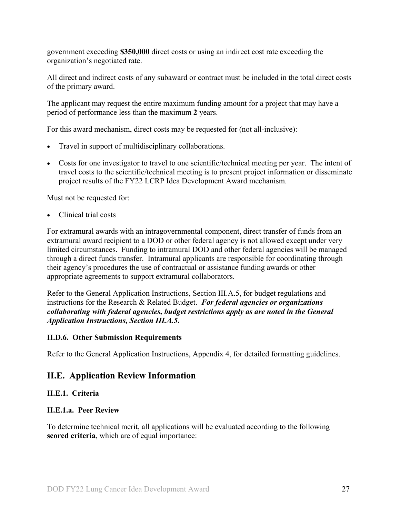government exceeding **\$350,000** direct costs or using an indirect cost rate exceeding the organization's negotiated rate.

All direct and indirect costs of any subaward or contract must be included in the total direct costs of the primary award.

The applicant may request the entire maximum funding amount for a project that may have a period of performance less than the maximum **2** years.

For this award mechanism, direct costs may be requested for (not all-inclusive):

- Travel in support of multidisciplinary collaborations.
- Costs for one investigator to travel to one scientific/technical meeting per year. The intent of travel costs to the scientific/technical meeting is to present project information or disseminate project results of the FY22 LCRP Idea Development Award mechanism.

Must not be requested for:

• Clinical trial costs

For extramural awards with an intragovernmental component, direct transfer of funds from an extramural award recipient to a DOD or other federal agency is not allowed except under very limited circumstances. Funding to intramural DOD and other federal agencies will be managed through a direct funds transfer. Intramural applicants are responsible for coordinating through their agency's procedures the use of contractual or assistance funding awards or other appropriate agreements to support extramural collaborators.

Refer to the General Application Instructions, Section III.A.5, for budget regulations and instructions for the Research & Related Budget. *For federal agencies or organizations collaborating with federal agencies, budget restrictions apply as are noted in the General Application Instructions, Section III.A.5***.**

## <span id="page-26-0"></span>**II.D.6. Other Submission Requirements**

Refer to the General Application Instructions, Appendix 4, for detailed formatting guidelines.

## <span id="page-26-1"></span>**II.E. Application Review Information**

## <span id="page-26-2"></span>**II.E.1. Criteria**

## **II.E.1.a. Peer Review**

To determine technical merit, all applications will be evaluated according to the following **scored criteria**, which are of equal importance: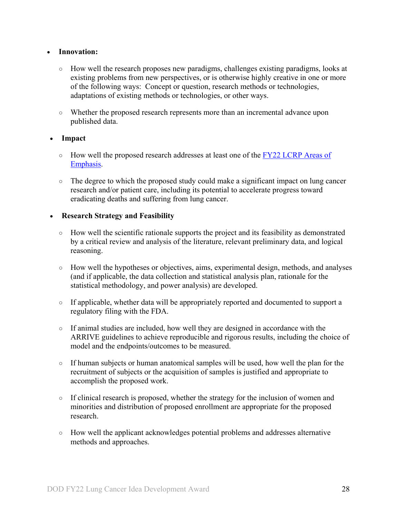#### • **Innovation:**

- How well the research proposes new paradigms, challenges existing paradigms, looks at existing problems from new perspectives, or is otherwise highly creative in one or more of the following ways: Concept or question, research methods or technologies, adaptations of existing methods or technologies, or other ways.
- Whether the proposed research represents more than an incremental advance upon published data.

## • **Impact**

- How well the proposed research addresses at least one of the FY22 LCRP Areas of [Emphasis.](#page-2-3)
- The degree to which the proposed study could make a significant impact on lung cancer research and/or patient care, including its potential to accelerate progress toward eradicating deaths and suffering from lung cancer.

## • **Research Strategy and Feasibility**

- How well the scientific rationale supports the project and its feasibility as demonstrated by a critical review and analysis of the literature, relevant preliminary data, and logical reasoning.
- How well the hypotheses or objectives, aims, experimental design, methods, and analyses (and if applicable, the data collection and statistical analysis plan, rationale for the statistical methodology, and power analysis) are developed.
- If applicable, whether data will be appropriately reported and documented to support a regulatory filing with the FDA.
- If animal studies are included, how well they are designed in accordance with the ARRIVE guidelines to achieve reproducible and rigorous results, including the choice of model and the endpoints/outcomes to be measured.
- $\circ$  If human subjects or human anatomical samples will be used, how well the plan for the recruitment of subjects or the acquisition of samples is justified and appropriate to accomplish the proposed work.
- If clinical research is proposed, whether the strategy for the inclusion of women and minorities and distribution of proposed enrollment are appropriate for the proposed research.
- How well the applicant acknowledges potential problems and addresses alternative methods and approaches.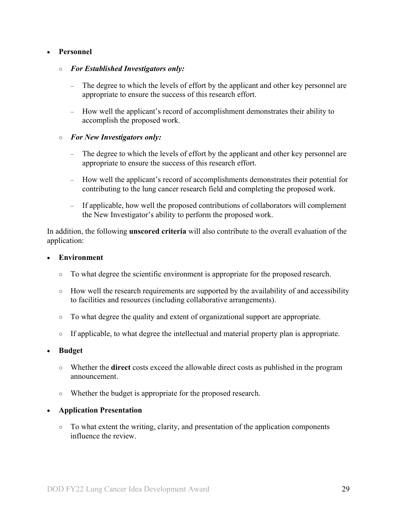### • **Personnel**

#### ○ *For Established Investigators only:*

- The degree to which the levels of effort by the applicant and other key personnel are appropriate to ensure the success of this research effort.
- How well the applicant's record of accomplishment demonstrates their ability to accomplish the proposed work.

#### ○ *For New Investigators only:*

- The degree to which the levels of effort by the applicant and other key personnel are appropriate to ensure the success of this research effort.
- How well the applicant's record of accomplishments demonstrates their potential for contributing to the lung cancer research field and completing the proposed work.
- If applicable, how well the proposed contributions of collaborators will complement the New Investigator's ability to perform the proposed work.

In addition, the following **unscored criteria** will also contribute to the overall evaluation of the application:

#### • **Environment**

- To what degree the scientific environment is appropriate for the proposed research.
- $\circ$  How well the research requirements are supported by the availability of and accessibility to facilities and resources (including collaborative arrangements).
- To what degree the quality and extent of organizational support are appropriate.
- If applicable, to what degree the intellectual and material property plan is appropriate.

#### • **Budget**

- Whether the **direct** costs exceed the allowable direct costs as published in the program announcement.
- Whether the budget is appropriate for the proposed research.

#### • **Application Presentation**

○ To what extent the writing, clarity, and presentation of the application components influence the review.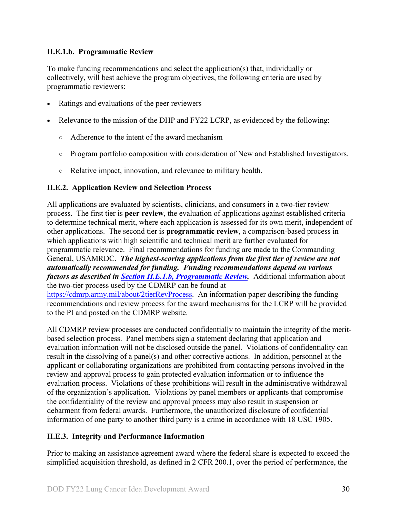## <span id="page-29-2"></span>**II.E.1.b. Programmatic Review**

To make funding recommendations and select the application(s) that, individually or collectively, will best achieve the program objectives, the following criteria are used by programmatic reviewers:

- Ratings and evaluations of the peer reviewers
- Relevance to the mission of the DHP and FY22 LCRP, as evidenced by the following:
	- Adherence to the intent of the award mechanism
	- Program portfolio composition with consideration of New and Established Investigators.
	- Relative impact, innovation, and relevance to military health.

## <span id="page-29-0"></span>**II.E.2. Application Review and Selection Process**

All applications are evaluated by scientists, clinicians, and consumers in a two-tier review process. The first tier is **peer review**, the evaluation of applications against established criteria to determine technical merit, where each application is assessed for its own merit, independent of other applications. The second tier is **programmatic review**, a comparison-based process in which applications with high scientific and technical merit are further evaluated for programmatic relevance. Final recommendations for funding are made to the Commanding General, USAMRDC. *The highest-scoring applications from the first tier of review are not automatically recommended for funding. Funding recommendations depend on various factors as described in Section [II.E.1.b, Programmatic Review.](#page-29-2)* Additional information about the two-tier process used by the CDMRP can be found at [https://cdmrp.army.mil/about/2tierRevProcess.](http://cdmrp.army.mil/about/2tierRevProcess) An information paper describing the funding recommendations and review process for the award mechanisms for the LCRP will be provided to the PI and posted on the CDMRP website.

All CDMRP review processes are conducted confidentially to maintain the integrity of the meritbased selection process. Panel members sign a statement declaring that application and evaluation information will not be disclosed outside the panel. Violations of confidentiality can result in the dissolving of a panel(s) and other corrective actions. In addition, personnel at the applicant or collaborating organizations are prohibited from contacting persons involved in the review and approval process to gain protected evaluation information or to influence the evaluation process. Violations of these prohibitions will result in the administrative withdrawal of the organization's application. Violations by panel members or applicants that compromise the confidentiality of the review and approval process may also result in suspension or debarment from federal awards. Furthermore, the unauthorized disclosure of confidential information of one party to another third party is a crime in accordance with 18 USC 1905.

## <span id="page-29-1"></span>**II.E.3. Integrity and Performance Information**

Prior to making an assistance agreement award where the federal share is expected to exceed the simplified acquisition threshold, as defined in 2 CFR 200.1, over the period of performance, the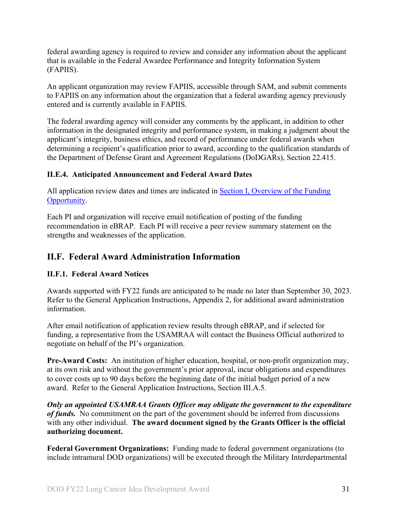federal awarding agency is required to review and consider any information about the applicant that is available in the Federal Awardee Performance and Integrity Information System (FAPIIS).

An applicant organization may review FAPIIS, accessible through SAM, and submit comments to FAPIIS on any information about the organization that a federal awarding agency previously entered and is currently available in FAPIIS.

The federal awarding agency will consider any comments by the applicant, in addition to other information in the designated integrity and performance system, in making a judgment about the applicant's integrity, business ethics, and record of performance under federal awards when determining a recipient's qualification prior to award, according to the qualification standards of the Department of Defense Grant and Agreement Regulations (DoDGARs), Section 22.415.

## <span id="page-30-0"></span>**II.E.4. Anticipated Announcement and Federal Award Dates**

All application review dates and times are indicated in [Section I, Overview of the Funding](#page-0-1)  [Opportunity.](#page-0-1)

Each PI and organization will receive email notification of posting of the funding recommendation in eBRAP. Each PI will receive a peer review summary statement on the strengths and weaknesses of the application.

## <span id="page-30-1"></span>**II.F. Federal Award Administration Information**

## <span id="page-30-2"></span>**II.F.1. Federal Award Notices**

Awards supported with FY22 funds are anticipated to be made no later than September 30, 2023. Refer to the General Application Instructions, Appendix 2, for additional award administration information.

After email notification of application review results through eBRAP, and if selected for funding, a representative from the USAMRAA will contact the Business Official authorized to negotiate on behalf of the PI's organization.

**Pre-Award Costs:** An institution of higher education, hospital, or non-profit organization may, at its own risk and without the government's prior approval, incur obligations and expenditures to cover costs up to 90 days before the beginning date of the initial budget period of a new award. Refer to the General Application Instructions, Section III.A.5.

*Only an appointed USAMRAA Grants Officer may obligate the government to the expenditure of funds.* No commitment on the part of the government should be inferred from discussions with any other individual. **The award document signed by the Grants Officer is the official authorizing document.**

**Federal Government Organizations:** Funding made to federal government organizations (to include intramural DOD organizations) will be executed through the Military Interdepartmental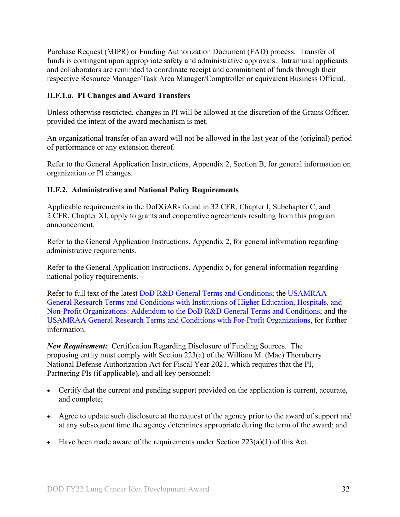Purchase Request (MIPR) or Funding Authorization Document (FAD) process. Transfer of funds is contingent upon appropriate safety and administrative approvals. Intramural applicants and collaborators are reminded to coordinate receipt and commitment of funds through their respective Resource Manager/Task Area Manager/Comptroller or equivalent Business Official.

## **II.F.1.a. PI Changes and Award Transfers**

Unless otherwise restricted, changes in PI will be allowed at the discretion of the Grants Officer, provided the intent of the award mechanism is met.

An organizational transfer of an award will not be allowed in the last year of the (original) period of performance or any extension thereof.

Refer to the General Application Instructions, Appendix 2, Section B, for general information on organization or PI changes.

## <span id="page-31-0"></span>**II.F.2. Administrative and National Policy Requirements**

Applicable requirements in the DoDGARs found in 32 CFR, Chapter I, Subchapter C, and 2 CFR, Chapter XI, apply to grants and cooperative agreements resulting from this program announcement.

Refer to the General Application Instructions, Appendix 2, for general information regarding administrative requirements.

Refer to the General Application Instructions, Appendix 5, for general information regarding national policy requirements.

Refer to full text of the latest DoD [R&D General Terms and Conditions;](https://www.onr.navy.mil/work-with-us/manage-your-award/manage-grant-award/grants-terms-conditions) the [USAMRAA](https://www.usamraa.army.mil/Pages/Resources.aspx)  [General Research Terms and Conditions with Institutions of Higher Education, Hospitals, and](https://www.usamraa.army.mil/Pages/Resources.aspx)  [Non-Profit Organizations: Addendum to the DoD](https://www.usamraa.army.mil/Pages/Resources.aspx) R&D General Terms and Conditions; and the [USAMRAA General Research Terms and Conditions with For-Profit Organizations,](https://www.usamraa.army.mil/Pages/Resources.aspx) for further information.

*New Requirement:* Certification Regarding Disclosure of Funding Sources. The proposing entity must comply with Section 223(a) of the William M. (Mac) Thornberry National Defense Authorization Act for Fiscal Year 2021, which requires that the PI, Partnering PIs (if applicable), and all key personnel:

- Certify that the current and pending support provided on the application is current, accurate, and complete;
- Agree to update such disclosure at the request of the agency prior to the award of support and at any subsequent time the agency determines appropriate during the term of the award; and
- Have been made aware of the requirements under Section  $223(a)(1)$  of this Act.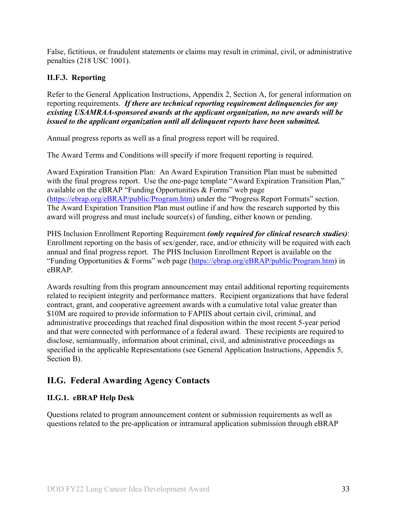False, fictitious, or fraudulent statements or claims may result in criminal, civil, or administrative penalties (218 USC 1001).

## <span id="page-32-0"></span>**II.F.3. Reporting**

Refer to the General Application Instructions, Appendix 2, Section A, for general information on reporting requirements. *If there are technical reporting requirement delinquencies for any existing USAMRAA-sponsored awards at the applicant organization, no new awards will be issued to the applicant organization until all delinquent reports have been submitted.*

Annual progress reports as well as a final progress report will be required.

The Award Terms and Conditions will specify if more frequent reporting is required.

Award Expiration Transition Plan: An Award Expiration Transition Plan must be submitted with the final progress report. Use the one-page template "Award Expiration Transition Plan," available on the eBRAP "Funding Opportunities & Forms" web page [\(https://ebrap.org/eBRAP/public/Program.htm\)](https://ebrap.org/eBRAP/public/Program.htm) under the "Progress Report Formats" section. The Award Expiration Transition Plan must outline if and how the research supported by this award will progress and must include source(s) of funding, either known or pending.

PHS Inclusion Enrollment Reporting Requirement *(only required for clinical research studies)*: Enrollment reporting on the basis of sex/gender, race, and/or ethnicity will be required with each annual and final progress report. The PHS Inclusion Enrollment Report is available on the "Funding Opportunities & Forms" web page [\(https://ebrap.org/eBRAP/public/Program.htm\)](https://ebrap.org/eBRAP/public/Program.htm) in eBRAP.

Awards resulting from this program announcement may entail additional reporting requirements related to recipient integrity and performance matters. Recipient organizations that have federal contract, grant, and cooperative agreement awards with a cumulative total value greater than \$10M are required to provide information to FAPIIS about certain civil, criminal, and administrative proceedings that reached final disposition within the most recent 5-year period and that were connected with performance of a federal award. These recipients are required to disclose, semiannually, information about criminal, civil, and administrative proceedings as specified in the applicable Representations (see General Application Instructions, Appendix 5, Section B).

## <span id="page-32-1"></span>**II.G. Federal Awarding Agency Contacts**

## <span id="page-32-2"></span>**II.G.1. eBRAP Help Desk**

Questions related to program announcement content or submission requirements as well as questions related to the pre-application or intramural application submission through eBRAP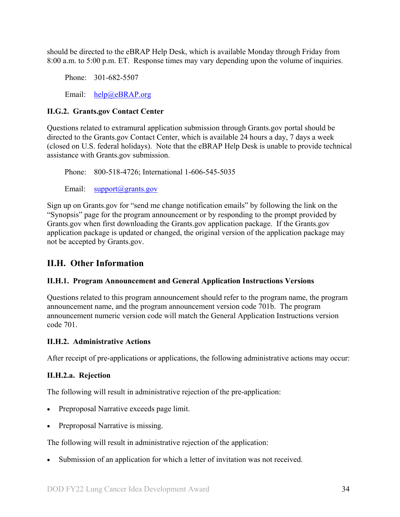should be directed to the eBRAP Help Desk, which is available Monday through Friday from 8:00 a.m. to 5:00 p.m. ET. Response times may vary depending upon the volume of inquiries.

Phone: 301-682-5507 Email: [help@eBRAP.org](mailto:help@eBRAP.org)

## <span id="page-33-0"></span>**II.G.2. Grants.gov Contact Center**

Questions related to extramural application submission through Grants.gov portal should be directed to the Grants.gov Contact Center, which is available 24 hours a day, 7 days a week (closed on U.S. federal holidays). Note that the eBRAP Help Desk is unable to provide technical assistance with Grants.gov submission.

Phone: 800-518-4726; International 1-606-545-5035 Email: [support@grants.gov](mailto:support@grants.gov)

Sign up on Grants.gov for "send me change notification emails" by following the link on the "Synopsis" page for the program announcement or by responding to the prompt provided by Grants.gov when first downloading the Grants.gov application package. If the Grants.gov application package is updated or changed, the original version of the application package may not be accepted by Grants.gov.

## <span id="page-33-1"></span>**II.H. Other Information**

## <span id="page-33-2"></span>**II.H.1. Program Announcement and General Application Instructions Versions**

Questions related to this program announcement should refer to the program name, the program announcement name, and the program announcement version code 701b. The program announcement numeric version code will match the General Application Instructions version code 701.

## <span id="page-33-3"></span>**II.H.2. Administrative Actions**

After receipt of pre-applications or applications, the following administrative actions may occur:

## **II.H.2.a. Rejection**

The following will result in administrative rejection of the pre-application:

- Preproposal Narrative exceeds page limit.
- Preproposal Narrative is missing.

The following will result in administrative rejection of the application:

Submission of an application for which a letter of invitation was not received.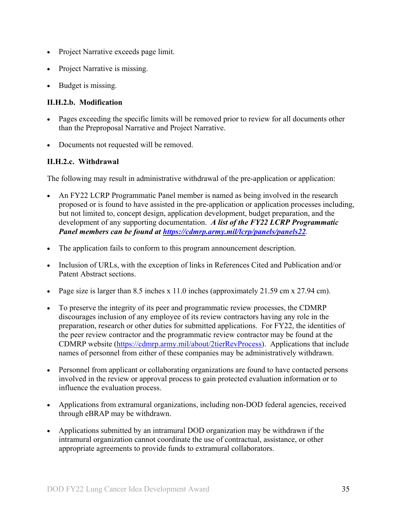- Project Narrative exceeds page limit.
- **Project Narrative is missing.**
- Budget is missing.

## **II.H.2.b. Modification**

- Pages exceeding the specific limits will be removed prior to review for all documents other than the Preproposal Narrative and Project Narrative.
- Documents not requested will be removed.

## <span id="page-34-0"></span>**II.H.2.c. Withdrawal**

The following may result in administrative withdrawal of the pre-application or application:

- An FY22 LCRP Programmatic Panel member is named as being involved in the research proposed or is found to have assisted in the pre-application or application processes including, but not limited to, concept design, application development, budget preparation, and the development of any supporting documentation. *A list of the FY22 LCRP Programmatic Panel members can be found at<https://cdmrp.army.mil/lcrp/panels/panels22>.*
- The application fails to conform to this program announcement description.
- Inclusion of URLs, with the exception of links in References Cited and Publication and/or Patent Abstract sections.
- Page size is larger than 8.5 inches x 11.0 inches (approximately 21.59 cm x 27.94 cm).
- To preserve the integrity of its peer and programmatic review processes, the CDMRP discourages inclusion of any employee of its review contractors having any role in the preparation, research or other duties for submitted applications. For FY22, the identities of the peer review contractor and the programmatic review contractor may be found at the CDMRP website [\(https://cdmrp.army.mil/about/2tierRevProcess\)](https://cdmrp.army.mil/about/2tierRevProcess). Applications that include names of personnel from either of these companies may be administratively withdrawn.
- Personnel from applicant or collaborating organizations are found to have contacted persons involved in the review or approval process to gain protected evaluation information or to influence the evaluation process.
- Applications from extramural organizations, including non-DOD federal agencies, received through eBRAP may be withdrawn.
- Applications submitted by an intramural DOD organization may be withdrawn if the intramural organization cannot coordinate the use of contractual, assistance, or other appropriate agreements to provide funds to extramural collaborators.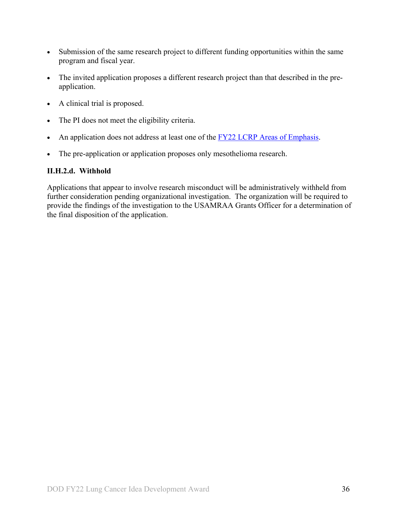- Submission of the same research project to different funding opportunities within the same program and fiscal year.
- The invited application proposes a different research project than that described in the preapplication.
- A clinical trial is proposed.
- The PI does not meet the eligibility criteria.
- An application does not address at least one of the [FY22 LCRP Areas of Emphasis.](#page-2-3)
- The pre-application or application proposes only mesothelioma research.

## **II.H.2.d. Withhold**

Applications that appear to involve research misconduct will be administratively withheld from further consideration pending organizational investigation. The organization will be required to provide the findings of the investigation to the USAMRAA Grants Officer for a determination of the final disposition of the application.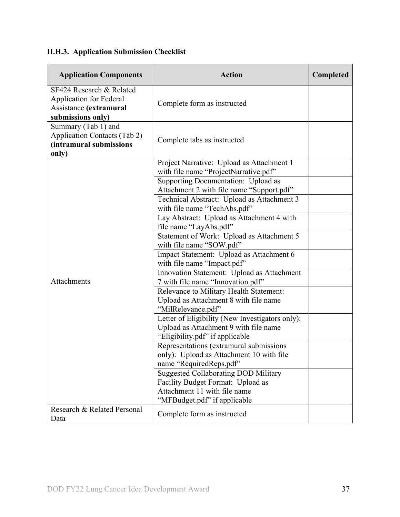# <span id="page-36-0"></span>**II.H.3. Application Submission Checklist**

| <b>Application Components</b>                                                                             | <b>Action</b>                                                                                                                                    | Completed |
|-----------------------------------------------------------------------------------------------------------|--------------------------------------------------------------------------------------------------------------------------------------------------|-----------|
| SF424 Research & Related<br><b>Application for Federal</b><br>Assistance (extramural<br>submissions only) | Complete form as instructed                                                                                                                      |           |
| Summary (Tab 1) and<br>Application Contacts (Tab 2)<br>(intramural submissions<br>only)                   | Complete tabs as instructed                                                                                                                      |           |
|                                                                                                           | Project Narrative: Upload as Attachment 1<br>with file name "ProjectNarrative.pdf"                                                               |           |
|                                                                                                           | Supporting Documentation: Upload as<br>Attachment 2 with file name "Support.pdf"                                                                 |           |
|                                                                                                           | Technical Abstract: Upload as Attachment 3<br>with file name "TechAbs.pdf"                                                                       |           |
|                                                                                                           | Lay Abstract: Upload as Attachment 4 with<br>file name "LayAbs.pdf"                                                                              |           |
|                                                                                                           | Statement of Work: Upload as Attachment 5<br>with file name "SOW.pdf"                                                                            |           |
|                                                                                                           | Impact Statement: Upload as Attachment 6<br>with file name "Impact.pdf"                                                                          |           |
| Attachments                                                                                               | Innovation Statement: Upload as Attachment<br>7 with file name "Innovation.pdf"                                                                  |           |
|                                                                                                           | Relevance to Military Health Statement:<br>Upload as Attachment 8 with file name<br>"MilRelevance.pdf"                                           |           |
|                                                                                                           | Letter of Eligibility (New Investigators only):<br>Upload as Attachment 9 with file name<br>"Eligibility.pdf" if applicable                      |           |
|                                                                                                           | Representations (extramural submissions<br>only): Upload as Attachment 10 with file<br>name "RequiredReps.pdf"                                   |           |
|                                                                                                           | <b>Suggested Collaborating DOD Military</b><br>Facility Budget Format: Upload as<br>Attachment 11 with file name<br>"MFBudget.pdf" if applicable |           |
| Research & Related Personal<br>Data                                                                       | Complete form as instructed                                                                                                                      |           |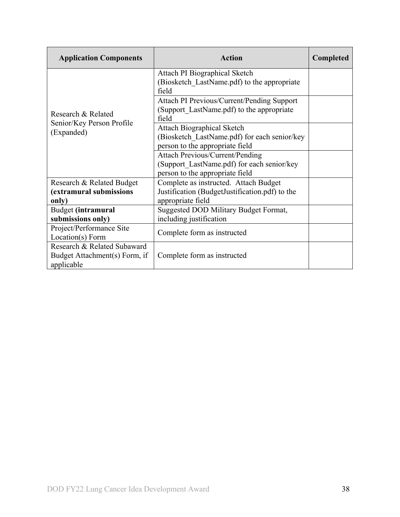| <b>Application Components</b>                                              | Action                                                                                                                  | <b>Completed</b> |
|----------------------------------------------------------------------------|-------------------------------------------------------------------------------------------------------------------------|------------------|
|                                                                            | Attach PI Biographical Sketch<br>(Biosketch LastName.pdf) to the appropriate<br>field                                   |                  |
| Research & Related                                                         | Attach PI Previous/Current/Pending Support<br>(Support LastName.pdf) to the appropriate<br>field                        |                  |
| Senior/Key Person Profile<br>(Expanded)                                    | <b>Attach Biographical Sketch</b><br>(Biosketch LastName.pdf) for each senior/key<br>person to the appropriate field    |                  |
|                                                                            | <b>Attach Previous/Current/Pending</b><br>(Support LastName.pdf) for each senior/key<br>person to the appropriate field |                  |
| Research & Related Budget<br>(extramural submissions<br>only)              | Complete as instructed. Attach Budget<br>Justification (BudgetJustification.pdf) to the<br>appropriate field            |                  |
| Budget (intramural<br>submissions only)                                    | Suggested DOD Military Budget Format,<br>including justification                                                        |                  |
| Project/Performance Site<br>Location(s) Form                               | Complete form as instructed                                                                                             |                  |
| Research & Related Subaward<br>Budget Attachment(s) Form, if<br>applicable | Complete form as instructed                                                                                             |                  |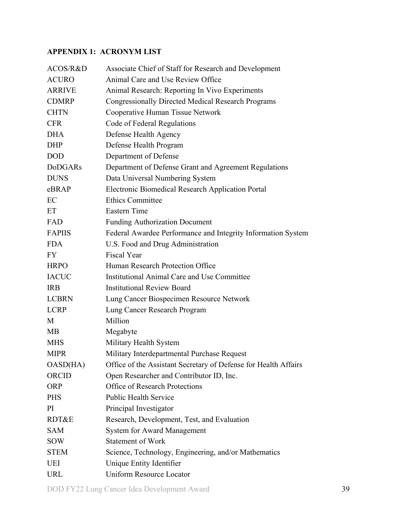## <span id="page-38-0"></span>**APPENDIX 1: ACRONYM LIST**

| ACOS/R&D       | Associate Chief of Staff for Research and Development           |
|----------------|-----------------------------------------------------------------|
| <b>ACURO</b>   | Animal Care and Use Review Office                               |
| <b>ARRIVE</b>  | Animal Research: Reporting In Vivo Experiments                  |
| <b>CDMRP</b>   | <b>Congressionally Directed Medical Research Programs</b>       |
| <b>CHTN</b>    | Cooperative Human Tissue Network                                |
| <b>CFR</b>     | Code of Federal Regulations                                     |
| <b>DHA</b>     | Defense Health Agency                                           |
| <b>DHP</b>     | Defense Health Program                                          |
| <b>DOD</b>     | Department of Defense                                           |
| <b>DoDGARs</b> | Department of Defense Grant and Agreement Regulations           |
| <b>DUNS</b>    | Data Universal Numbering System                                 |
| eBRAP          | Electronic Biomedical Research Application Portal               |
| EC             | <b>Ethics Committee</b>                                         |
| ET             | <b>Eastern Time</b>                                             |
| FAD            | <b>Funding Authorization Document</b>                           |
| <b>FAPIIS</b>  | Federal Awardee Performance and Integrity Information System    |
| <b>FDA</b>     | U.S. Food and Drug Administration                               |
| FY.            | <b>Fiscal Year</b>                                              |
| <b>HRPO</b>    | Human Research Protection Office                                |
| <b>IACUC</b>   | Institutional Animal Care and Use Committee                     |
| <b>IRB</b>     | <b>Institutional Review Board</b>                               |
| <b>LCBRN</b>   | Lung Cancer Biospecimen Resource Network                        |
| <b>LCRP</b>    | Lung Cancer Research Program                                    |
| M              | Million                                                         |
| <b>MB</b>      | Megabyte                                                        |
| <b>MHS</b>     | Military Health System                                          |
| <b>MIPR</b>    | Military Interdepartmental Purchase Request                     |
| OASD(HA)       | Office of the Assistant Secretary of Defense for Health Affairs |
| ORCID          | Open Researcher and Contributor ID, Inc.                        |
| <b>ORP</b>     | <b>Office of Research Protections</b>                           |
| <b>PHS</b>     | <b>Public Health Service</b>                                    |
| PI             | Principal Investigator                                          |
| RDT&E          | Research, Development, Test, and Evaluation                     |
| <b>SAM</b>     | <b>System for Award Management</b>                              |
| <b>SOW</b>     | <b>Statement of Work</b>                                        |
| <b>STEM</b>    | Science, Technology, Engineering, and/or Mathematics            |
| <b>UEI</b>     | Unique Entity Identifier                                        |
| <b>URL</b>     | <b>Uniform Resource Locator</b>                                 |